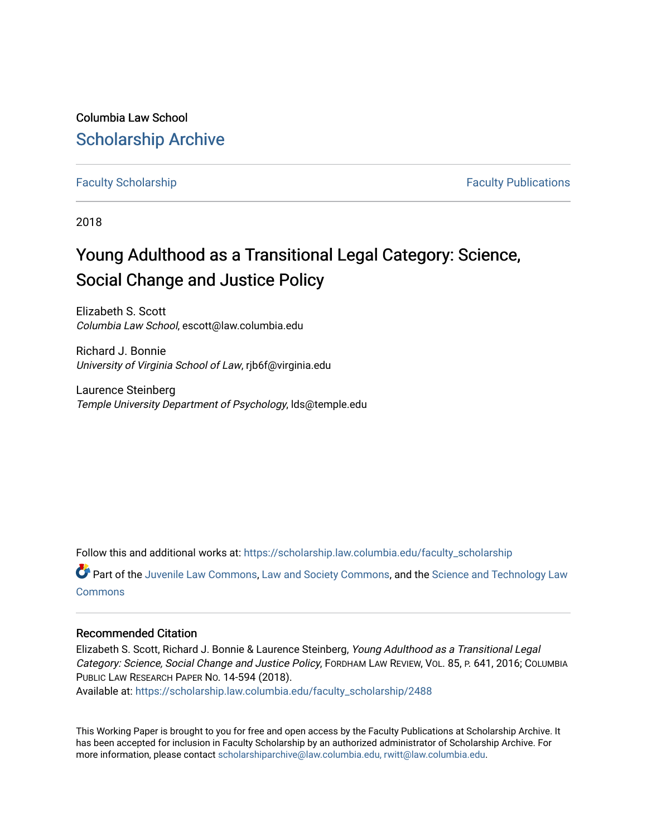Columbia Law School [Scholarship Archive](https://scholarship.law.columbia.edu/) 

[Faculty Scholarship](https://scholarship.law.columbia.edu/faculty_scholarship) **Faculty Scholarship Faculty Publications** 

2018

# Young Adulthood as a Transitional Legal Category: Science, Social Change and Justice Policy

Elizabeth S. Scott Columbia Law School, escott@law.columbia.edu

Richard J. Bonnie University of Virginia School of Law, rjb6f@virginia.edu

Laurence Steinberg Temple University Department of Psychology, lds@temple.edu

Follow this and additional works at: [https://scholarship.law.columbia.edu/faculty\\_scholarship](https://scholarship.law.columbia.edu/faculty_scholarship?utm_source=scholarship.law.columbia.edu%2Ffaculty_scholarship%2F2488&utm_medium=PDF&utm_campaign=PDFCoverPages)

Part of the [Juvenile Law Commons](https://network.bepress.com/hgg/discipline/851?utm_source=scholarship.law.columbia.edu%2Ffaculty_scholarship%2F2488&utm_medium=PDF&utm_campaign=PDFCoverPages), [Law and Society Commons,](https://network.bepress.com/hgg/discipline/853?utm_source=scholarship.law.columbia.edu%2Ffaculty_scholarship%2F2488&utm_medium=PDF&utm_campaign=PDFCoverPages) and the [Science and Technology Law](https://network.bepress.com/hgg/discipline/875?utm_source=scholarship.law.columbia.edu%2Ffaculty_scholarship%2F2488&utm_medium=PDF&utm_campaign=PDFCoverPages)  **[Commons](https://network.bepress.com/hgg/discipline/875?utm_source=scholarship.law.columbia.edu%2Ffaculty_scholarship%2F2488&utm_medium=PDF&utm_campaign=PDFCoverPages)** 

#### Recommended Citation

Elizabeth S. Scott, Richard J. Bonnie & Laurence Steinberg, Young Adulthood as a Transitional Legal Category: Science, Social Change and Justice Policy, FORDHAM LAW REVIEW, VOL. 85, P. 641, 2016; COLUMBIA PUBLIC LAW RESEARCH PAPER NO. 14-594 (2018).

Available at: [https://scholarship.law.columbia.edu/faculty\\_scholarship/2488](https://scholarship.law.columbia.edu/faculty_scholarship/2488?utm_source=scholarship.law.columbia.edu%2Ffaculty_scholarship%2F2488&utm_medium=PDF&utm_campaign=PDFCoverPages)

This Working Paper is brought to you for free and open access by the Faculty Publications at Scholarship Archive. It has been accepted for inclusion in Faculty Scholarship by an authorized administrator of Scholarship Archive. For more information, please contact [scholarshiparchive@law.columbia.edu, rwitt@law.columbia.edu](mailto:scholarshiparchive@law.columbia.edu,%20rwitt@law.columbia.edu).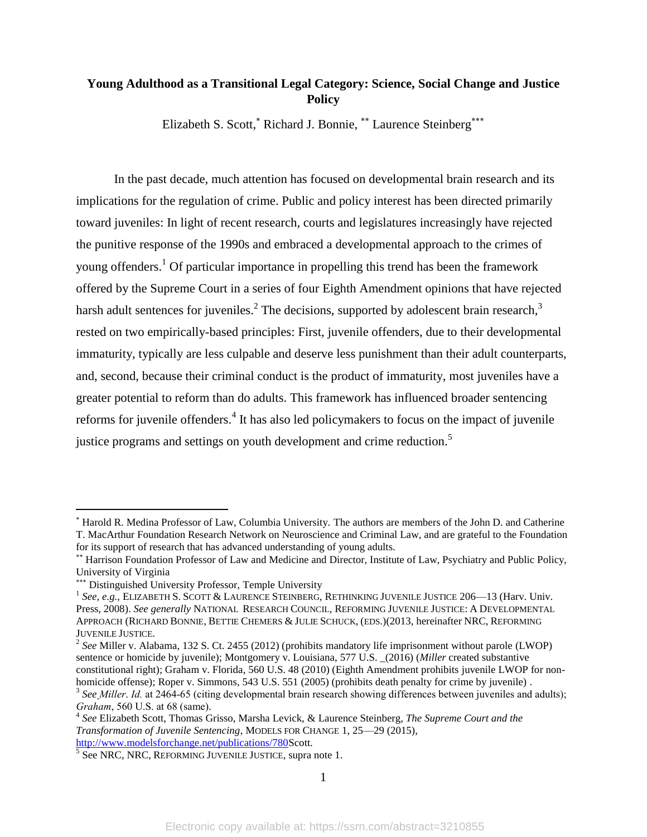## **Young Adulthood as a Transitional Legal Category: Science, Social Change and Justice Policy**

Elizabeth S. Scott, Kichard J. Bonnie, \*\* Laurence Steinberg \*\*\*

In the past decade, much attention has focused on developmental brain research and its implications for the regulation of crime. Public and policy interest has been directed primarily toward juveniles: In light of recent research, courts and legislatures increasingly have rejected the punitive response of the 1990s and embraced a developmental approach to the crimes of young offenders.<sup>1</sup> Of particular importance in propelling this trend has been the framework offered by the Supreme Court in a series of four Eighth Amendment opinions that have rejected harsh adult sentences for juveniles.<sup>2</sup> The decisions, supported by adolescent brain research,<sup>3</sup> rested on two empirically-based principles: First, juvenile offenders, due to their developmental immaturity, typically are less culpable and deserve less punishment than their adult counterparts, and, second, because their criminal conduct is the product of immaturity, most juveniles have a greater potential to reform than do adults. This framework has influenced broader sentencing reforms for juvenile offenders.<sup>4</sup> It has also led policymakers to focus on the impact of juvenile justice programs and settings on youth development and crime reduction.<sup>5</sup>

Harold R. Medina Professor of Law, Columbia University. The authors are members of the John D. and Catherine T. MacArthur Foundation Research Network on Neuroscience and Criminal Law, and are grateful to the Foundation for its support of research that has advanced understanding of young adults.

Harrison Foundation Professor of Law and Medicine and Director, Institute of Law, Psychiatry and Public Policy, University of Virginia

<sup>\*\*\*</sup> Distinguished University Professor, Temple University

<sup>&</sup>lt;sup>1</sup> See, e.g., ELIZABETH S. SCOTT & LAURENCE STEINBERG, RETHINKING JUVENILE JUSTICE 206-13 (Harv. Univ. Press, 2008). *See generally* NATIONAL RESEARCH COUNCIL, REFORMING JUVENILE JUSTICE: A DEVELOPMENTAL APPROACH (RICHARD BONNIE, BETTIE CHEMERS & JULIE SCHUCK, (EDS.)(2013, hereinafter NRC, REFORMING JUVENILE JUSTICE.

<sup>2</sup> *See* Miller v. Alabama, 132 S. Ct. 2455 (2012) (prohibits mandatory life imprisonment without parole (LWOP) sentence or homicide by juvenile); Montgomery v. Louisiana, 577 U.S. \_(2016) (*Miller* created substantive constitutional right); Graham v. Florida, 560 U.S. 48 (2010) (Eighth Amendment prohibits juvenile LWOP for nonhomicide offense); Roper v. Simmons, 543 U.S. 551 (2005) (prohibits death penalty for crime by juvenile).

<sup>&</sup>lt;sup>3</sup> See Miller. Id. at 2464-65 (citing developmental brain research showing differences between juveniles and adults); *Graham*, 560 U.S. at 68 (same).

<sup>4</sup> *See* Elizabeth Scott, Thomas Grisso, Marsha Levick, & Laurence Steinberg, *The Supreme Court and the Transformation of Juvenile Sentencing*, MODELS FOR CHANGE 1, 25—29 (2015),

[http://www.modelsforchange.net/publications/780S](http://www.modelsforchange.net/publications/780)cott.<br><sup>5</sup> See NRC, NRC, REFORMING JUVENILE JUSTICE, supra note 1.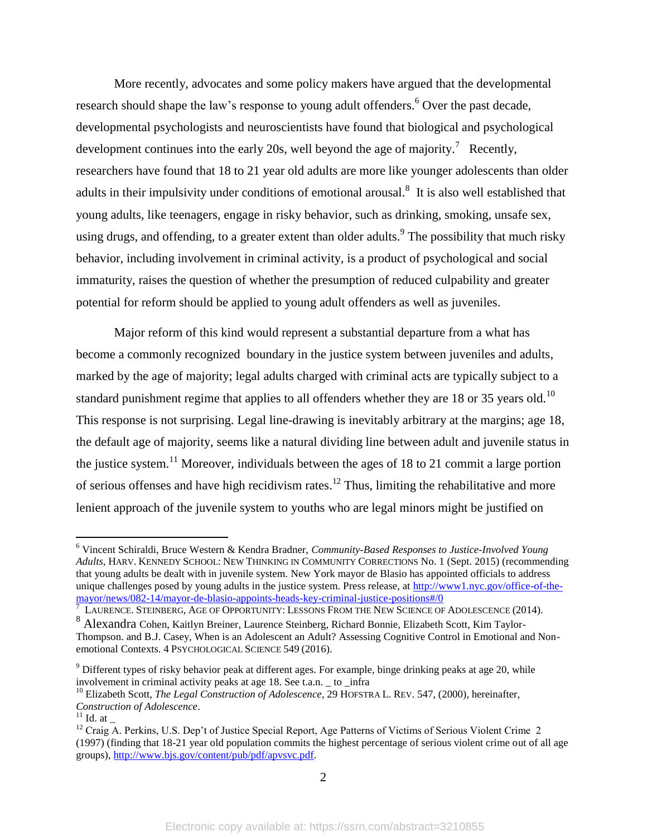More recently, advocates and some policy makers have argued that the developmental research should shape the law's response to young adult offenders.<sup>6</sup> Over the past decade, developmental psychologists and neuroscientists have found that biological and psychological development continues into the early 20s, well beyond the age of majority.<sup>7</sup> Recently, researchers have found that 18 to 21 year old adults are more like younger adolescents than older adults in their impulsivity under conditions of emotional arousal.<sup>8</sup> It is also well established that young adults, like teenagers, engage in risky behavior, such as drinking, smoking, unsafe sex, using drugs, and offending, to a greater extent than older adults. <sup>9</sup> The possibility that much risky behavior, including involvement in criminal activity, is a product of psychological and social immaturity, raises the question of whether the presumption of reduced culpability and greater potential for reform should be applied to young adult offenders as well as juveniles.

Major reform of this kind would represent a substantial departure from a what has become a commonly recognized boundary in the justice system between juveniles and adults, marked by the age of majority; legal adults charged with criminal acts are typically subject to a standard punishment regime that applies to all offenders whether they are 18 or 35 years old.<sup>10</sup> This response is not surprising. Legal line-drawing is inevitably arbitrary at the margins; age 18, the default age of majority, seems like a natural dividing line between adult and juvenile status in the justice system.<sup>11</sup> Moreover, individuals between the ages of 18 to 21 commit a large portion of serious offenses and have high recidivism rates.<sup>12</sup> Thus, limiting the rehabilitative and more lenient approach of the juvenile system to youths who are legal minors might be justified on

<sup>6</sup> Vincent Schiraldi, Bruce Western & Kendra Bradner, *Community-Based Responses to Justice-Involved Young Adults*, HARV. KENNEDY SCHOOL: NEW THINKING IN COMMUNITY CORRECTIONS No. 1 (Sept. 2015) (recommending that young adults be dealt with in juvenile system*.* New York mayor de Blasio has appointed officials to address unique challenges posed by young adults in the justice system. Press release, at [http://www1.nyc.gov/office-of-the](http://www1.nyc.gov/office-of-the-mayor/news/082-14/mayor-de-blasio-appoints-heads-key-criminal-justice-positions#/0)[mayor/news/082-14/mayor-de-blasio-appoints-heads-key-criminal-justice-positions#/0](http://www1.nyc.gov/office-of-the-mayor/news/082-14/mayor-de-blasio-appoints-heads-key-criminal-justice-positions#/0)

 $^7$  LAURENCE. STEINBERG, AGE OF OPPORTUNITY: LESSONS FROM THE NEW SCIENCE OF ADOLESCENCE (2014).

<sup>8</sup> Alexandra Cohen, Kaitlyn Breiner, Laurence Steinberg, Richard Bonnie, Elizabeth Scott, Kim Taylor-Thompson. and B.J. Casey, When is an Adolescent an Adult? Assessing Cognitive Control in Emotional and Nonemotional Contexts. 4 PSYCHOLOGICAL SCIENCE 549 (2016).

 $9$  Different types of risky behavior peak at different ages. For example, binge drinking peaks at age 20, while involvement in criminal activity peaks at age 18. See t.a.n. \_ to \_infra

<sup>10</sup> Elizabeth Scott, *The Legal Construction of Adolescence*, 29 HOFSTRA L. REV. 547, (2000), hereinafter, *Construction of Adolescence*.

 $11$  Id. at

<sup>&</sup>lt;sup>12</sup> Craig A. Perkins, U.S. Dep't of Justice Special Report, Age Patterns of Victims of Serious Violent Crime 2 (1997) (finding that 18-21 year old population commits the highest percentage of serious violent crime out of all age groups), [http://www.bjs.gov/content/pub/pdf/apvsvc.pdf.](http://www.bjs.gov/content/pub/pdf/apvsvc.pdf)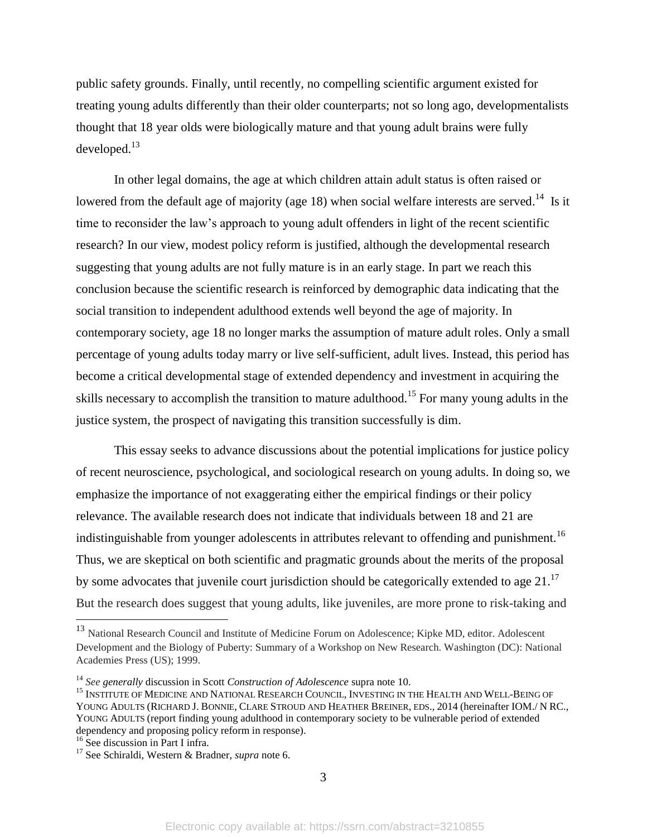public safety grounds. Finally, until recently, no compelling scientific argument existed for treating young adults differently than their older counterparts; not so long ago, developmentalists thought that 18 year olds were biologically mature and that young adult brains were fully developed.<sup>13</sup>

In other legal domains, the age at which children attain adult status is often raised or lowered from the default age of majority (age 18) when social welfare interests are served.<sup>14</sup> Is it time to reconsider the law's approach to young adult offenders in light of the recent scientific research? In our view, modest policy reform is justified, although the developmental research suggesting that young adults are not fully mature is in an early stage. In part we reach this conclusion because the scientific research is reinforced by demographic data indicating that the social transition to independent adulthood extends well beyond the age of majority. In contemporary society, age 18 no longer marks the assumption of mature adult roles. Only a small percentage of young adults today marry or live self-sufficient, adult lives. Instead, this period has become a critical developmental stage of extended dependency and investment in acquiring the skills necessary to accomplish the transition to mature adulthood.<sup>15</sup> For many young adults in the justice system, the prospect of navigating this transition successfully is dim.

This essay seeks to advance discussions about the potential implications for justice policy of recent neuroscience, psychological, and sociological research on young adults. In doing so, we emphasize the importance of not exaggerating either the empirical findings or their policy relevance. The available research does not indicate that individuals between 18 and 21 are indistinguishable from younger adolescents in attributes relevant to offending and punishment.<sup>16</sup> Thus, we are skeptical on both scientific and pragmatic grounds about the merits of the proposal by some advocates that juvenile court jurisdiction should be categorically extended to age 21.<sup>17</sup> But the research does suggest that young adults, like juveniles, are more prone to risk-taking and

<sup>&</sup>lt;sup>13</sup> National Research Council and Institute of Medicine Forum on Adolescence; Kipke MD, editor. Adolescent Development and the Biology of Puberty: Summary of a Workshop on New Research. Washington (DC): National Academies Press (US); 1999.

<sup>14</sup> *See generally* discussion in Scott *Construction of Adolescence* supra note 10.

<sup>&</sup>lt;sup>15</sup> INSTITUTE OF MEDICINE AND NATIONAL RESEARCH COUNCIL, INVESTING IN THE HEALTH AND WELL-BEING OF YOUNG ADULTS (RICHARD J. BONNIE, CLARE STROUD AND HEATHER BREINER, EDS., 2014 (hereinafter IOM./ N RC., YOUNG ADULTS (report finding young adulthood in contemporary society to be vulnerable period of extended dependency and proposing policy reform in response).

 $^{16}$  See discussion in Part I infra.

<sup>17</sup> See Schiraldi, Western & Bradner, *supra* note 6.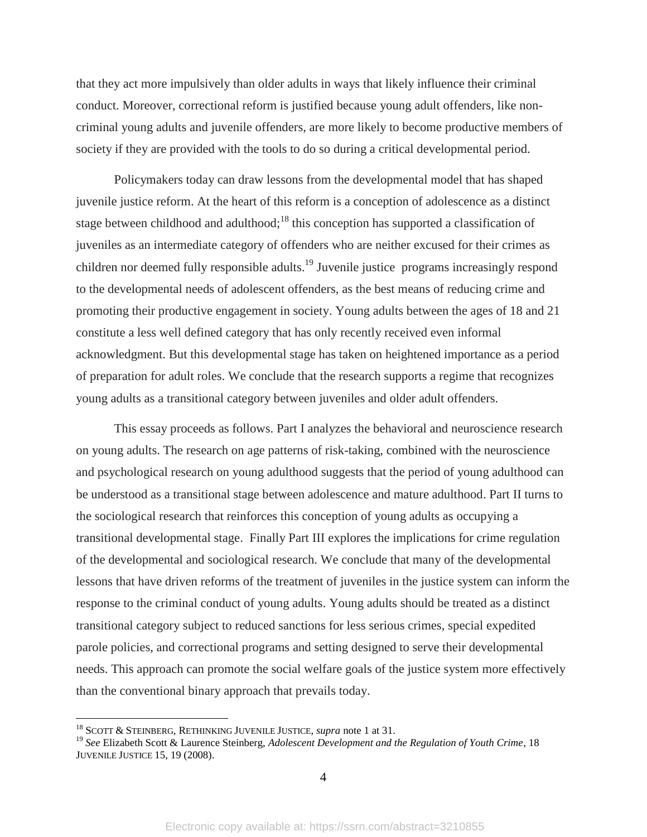that they act more impulsively than older adults in ways that likely influence their criminal conduct. Moreover, correctional reform is justified because young adult offenders, like noncriminal young adults and juvenile offenders, are more likely to become productive members of society if they are provided with the tools to do so during a critical developmental period.

Policymakers today can draw lessons from the developmental model that has shaped juvenile justice reform. At the heart of this reform is a conception of adolescence as a distinct stage between childhood and adulthood;<sup>18</sup> this conception has supported a classification of juveniles as an intermediate category of offenders who are neither excused for their crimes as children nor deemed fully responsible adults.<sup>19</sup> Juvenile justice programs increasingly respond to the developmental needs of adolescent offenders, as the best means of reducing crime and promoting their productive engagement in society. Young adults between the ages of 18 and 21 constitute a less well defined category that has only recently received even informal acknowledgment. But this developmental stage has taken on heightened importance as a period of preparation for adult roles. We conclude that the research supports a regime that recognizes young adults as a transitional category between juveniles and older adult offenders.

This essay proceeds as follows. Part I analyzes the behavioral and neuroscience research on young adults. The research on age patterns of risk-taking, combined with the neuroscience and psychological research on young adulthood suggests that the period of young adulthood can be understood as a transitional stage between adolescence and mature adulthood. Part II turns to the sociological research that reinforces this conception of young adults as occupying a transitional developmental stage. Finally Part III explores the implications for crime regulation of the developmental and sociological research. We conclude that many of the developmental lessons that have driven reforms of the treatment of juveniles in the justice system can inform the response to the criminal conduct of young adults. Young adults should be treated as a distinct transitional category subject to reduced sanctions for less serious crimes, special expedited parole policies, and correctional programs and setting designed to serve their developmental needs. This approach can promote the social welfare goals of the justice system more effectively than the conventional binary approach that prevails today.

<sup>18</sup> SCOTT & STEINBERG, RETHINKING JUVENILE JUSTICE, *supra* note 1 at 31.

<sup>19</sup> *See* Elizabeth Scott & Laurence Steinberg, *Adolescent Development and the Regulation of Youth Crime*, 18 JUVENILE JUSTICE 15, 19 (2008).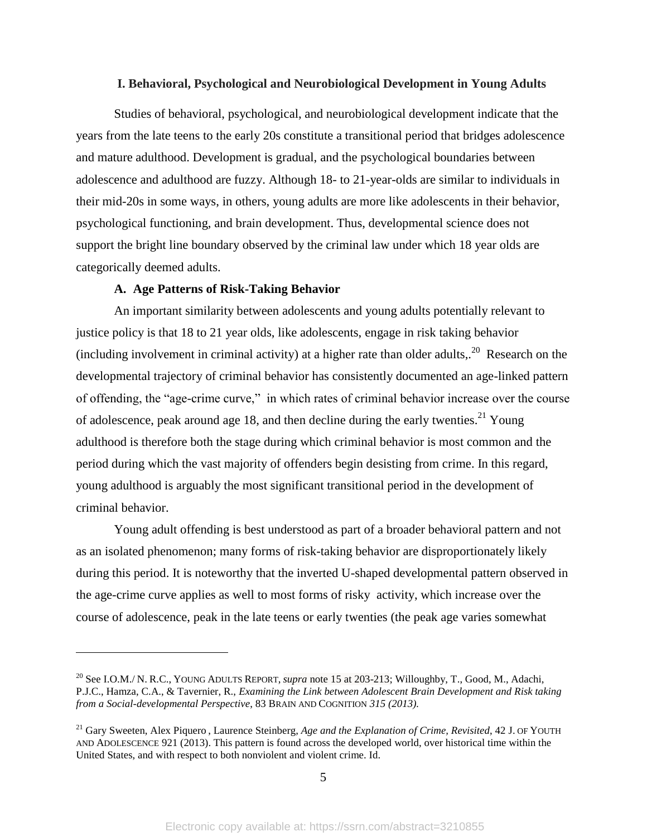#### **I. Behavioral, Psychological and Neurobiological Development in Young Adults**

Studies of behavioral, psychological, and neurobiological development indicate that the years from the late teens to the early 20s constitute a transitional period that bridges adolescence and mature adulthood. Development is gradual, and the psychological boundaries between adolescence and adulthood are fuzzy. Although 18- to 21-year-olds are similar to individuals in their mid-20s in some ways, in others, young adults are more like adolescents in their behavior, psychological functioning, and brain development. Thus, developmental science does not support the bright line boundary observed by the criminal law under which 18 year olds are categorically deemed adults.

#### **A. Age Patterns of Risk-Taking Behavior**

 $\overline{a}$ 

An important similarity between adolescents and young adults potentially relevant to justice policy is that 18 to 21 year olds, like adolescents, engage in risk taking behavior (including involvement in criminal activity) at a higher rate than older adults,.<sup>20</sup> Research on the developmental trajectory of criminal behavior has consistently documented an age-linked pattern of offending, the "age-crime curve," in which rates of criminal behavior increase over the course of adolescence, peak around age 18, and then decline during the early twenties.<sup>21</sup> Young adulthood is therefore both the stage during which criminal behavior is most common and the period during which the vast majority of offenders begin desisting from crime. In this regard, young adulthood is arguably the most significant transitional period in the development of criminal behavior.

Young adult offending is best understood as part of a broader behavioral pattern and not as an isolated phenomenon; many forms of risk-taking behavior are disproportionately likely during this period. It is noteworthy that the inverted U-shaped developmental pattern observed in the age-crime curve applies as well to most forms of risky activity, which increase over the course of adolescence, peak in the late teens or early twenties (the peak age varies somewhat

<sup>&</sup>lt;sup>20</sup> See I.O.M./ N. R.C., YOUNG ADULTS REPORT, *supra* note 15 at 203-213; Willoughby, T., Good, M., Adachi, P.J.C., Hamza, C.A., & Tavernier, R., *Examining the Link between Adolescent Brain Development and Risk taking from a Social-developmental Perspective*, 83 BRAIN AND COGNITION *315 (2013).*

<sup>&</sup>lt;sup>21</sup> Gary Sweeten, Alex Piquero, Laurence Steinberg, *Age and the Explanation of Crime, Revisited*, 42 J. OF YOUTH AND ADOLESCENCE 921 (2013). This pattern is found across the developed world, over historical time within the United States, and with respect to both nonviolent and violent crime. Id.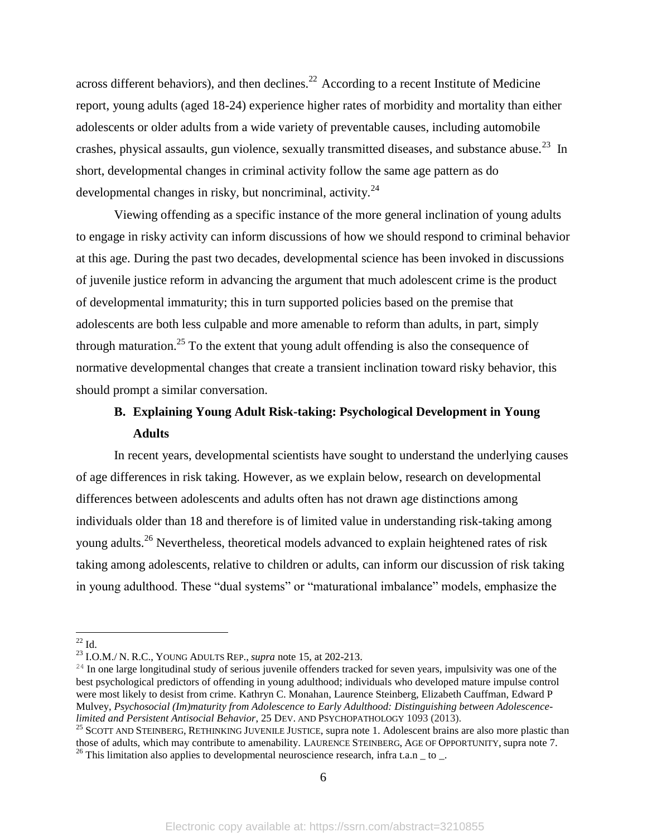across different behaviors), and then declines.<sup>22</sup> According to a recent Institute of Medicine report, young adults (aged 18-24) experience higher rates of morbidity and mortality than either adolescents or older adults from a wide variety of preventable causes, including automobile crashes, physical assaults, gun violence, sexually transmitted diseases, and substance abuse.<sup>23</sup> In short, developmental changes in criminal activity follow the same age pattern as do developmental changes in risky, but noncriminal, activity. $^{24}$ 

Viewing offending as a specific instance of the more general inclination of young adults to engage in risky activity can inform discussions of how we should respond to criminal behavior at this age. During the past two decades, developmental science has been invoked in discussions of juvenile justice reform in advancing the argument that much adolescent crime is the product of developmental immaturity; this in turn supported policies based on the premise that adolescents are both less culpable and more amenable to reform than adults, in part, simply through maturation.<sup>25</sup> To the extent that young adult offending is also the consequence of normative developmental changes that create a transient inclination toward risky behavior, this should prompt a similar conversation.

# **B. Explaining Young Adult Risk-taking: Psychological Development in Young Adults**

In recent years, developmental scientists have sought to understand the underlying causes of age differences in risk taking. However, as we explain below, research on developmental differences between adolescents and adults often has not drawn age distinctions among individuals older than 18 and therefore is of limited value in understanding risk-taking among young adults.<sup>26</sup> Nevertheless, theoretical models advanced to explain heightened rates of risk taking among adolescents, relative to children or adults, can inform our discussion of risk taking in young adulthood. These "dual systems" or "maturational imbalance" models, emphasize the

 $^{22}$  Id.

<sup>23</sup> I.O.M./ N. R.C., YOUNG ADULTS REP., *supra* note 15, at 202-213.

 $24$  In one large longitudinal study of serious juvenile offenders tracked for seven years, impulsivity was one of the best psychological predictors of offending in young adulthood; individuals who developed mature impulse control were most likely to desist from crime. Kathryn C. Monahan, Laurence Steinberg, Elizabeth Cauffman, Edward P Mulvey, *Psychosocial (Im)maturity from Adolescence to Early Adulthood: Distinguishing between Adolescencelimited and Persistent Antisocial Behavior*, 25 DEV. AND PSYCHOPATHOLOGY 1093 (2013).

<sup>&</sup>lt;sup>25</sup> SCOTT AND STEINBERG, RETHINKING JUVENILE JUSTICE, supra note 1. Adolescent brains are also more plastic than those of adults, which may contribute to amenability. LAURENCE STEINBERG, AGE OF OPPORTUNITY, supra note 7. <sup>26</sup> This limitation also applies to developmental neuroscience research, infra t.a.n  $\_$  to  $\_$ .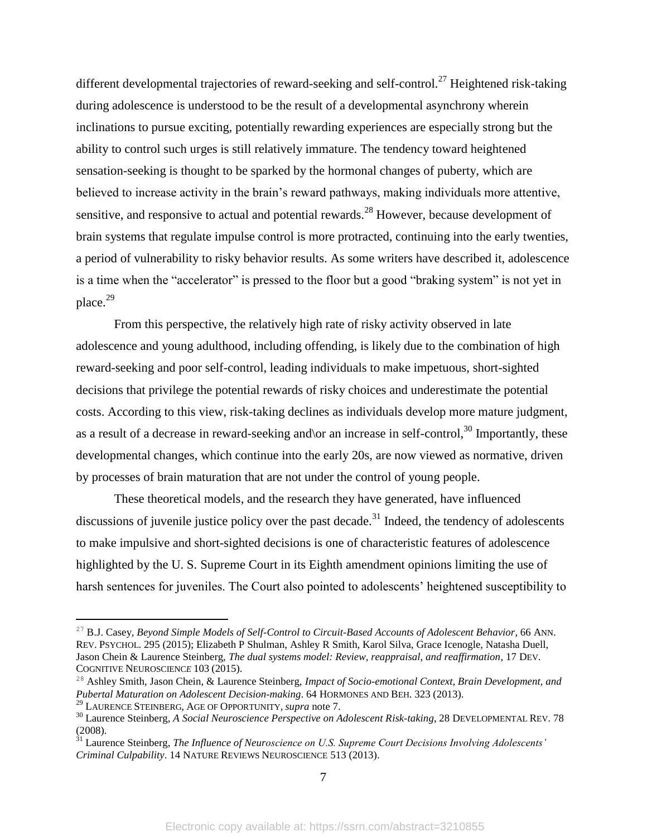different developmental trajectories of reward-seeking and self-control.<sup>27</sup> Heightened risk-taking during adolescence is understood to be the result of a developmental asynchrony wherein inclinations to pursue exciting, potentially rewarding experiences are especially strong but the ability to control such urges is still relatively immature. The tendency toward heightened sensation-seeking is thought to be sparked by the hormonal changes of puberty, which are believed to increase activity in the brain's reward pathways, making individuals more attentive, sensitive, and responsive to actual and potential rewards.<sup>28</sup> However, because development of brain systems that regulate impulse control is more protracted, continuing into the early twenties, a period of vulnerability to risky behavior results. As some writers have described it, adolescence is a time when the "accelerator" is pressed to the floor but a good "braking system" is not yet in place.<sup>29</sup>

From this perspective, the relatively high rate of risky activity observed in late adolescence and young adulthood, including offending, is likely due to the combination of high reward-seeking and poor self-control, leading individuals to make impetuous, short-sighted decisions that privilege the potential rewards of risky choices and underestimate the potential costs. According to this view, risk-taking declines as individuals develop more mature judgment, as a result of a decrease in reward-seeking and/or an increase in self-control,<sup>30</sup> Importantly, these developmental changes, which continue into the early 20s, are now viewed as normative, driven by processes of brain maturation that are not under the control of young people.

These theoretical models, and the research they have generated, have influenced discussions of juvenile justice policy over the past decade.<sup>31</sup> Indeed, the tendency of adolescents to make impulsive and short-sighted decisions is one of characteristic features of adolescence highlighted by the U. S. Supreme Court in its Eighth amendment opinions limiting the use of harsh sentences for juveniles. The Court also pointed to adolescents' heightened susceptibility to

<sup>&</sup>lt;sup>27</sup> B.J. Casey, *Beyond Simple Models of Self-Control to Circuit-Based Accounts of Adolescent Behavior*, 66 ANN. REV. PSYCHOL. 295 (2015); Elizabeth P Shulman, Ashley R Smith, Karol Silva, Grace Icenogle, Natasha Duell, Jason Chein & Laurence Steinberg, *The dual systems model: Review, reappraisal, and reaffirmation*, 17 DEV. COGNITIVE NEUROSCIENC*E* 103 (2015).

<sup>28</sup> Ashley Smith, Jason Chein, & Laurence Steinberg, *Impact of Socio-emotional Context, Brain Development, and Pubertal Maturation on Adolescent Decision-making*. 64 HORMONES AND BEH. 323 (2013).

<sup>29</sup> LAURENCE STEINBERG, AGE OF OPPORTUNITY, *supra* note 7.

<sup>30</sup> Laurence Steinberg*, A Social Neuroscience Perspective on Adolescent Risk-taking*, 28 DEVELOPMENTAL REV. 78 (2008).

<sup>31</sup> Laurence Steinberg, *The Influence of Neuroscience on U.S. Supreme Court Decisions Involving Adolescents' Criminal Culpability*. 14 NATURE REVIEWS NEUROSCIENCE 513 (2013).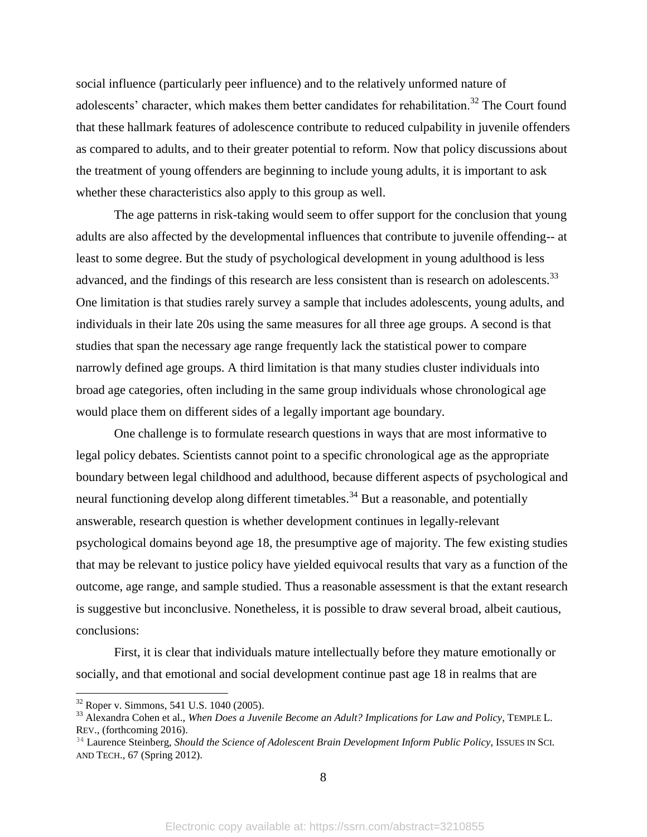social influence (particularly peer influence) and to the relatively unformed nature of adolescents' character, which makes them better candidates for rehabilitation.<sup>32</sup> The Court found that these hallmark features of adolescence contribute to reduced culpability in juvenile offenders as compared to adults, and to their greater potential to reform. Now that policy discussions about the treatment of young offenders are beginning to include young adults, it is important to ask whether these characteristics also apply to this group as well.

The age patterns in risk-taking would seem to offer support for the conclusion that young adults are also affected by the developmental influences that contribute to juvenile offending-- at least to some degree. But the study of psychological development in young adulthood is less advanced, and the findings of this research are less consistent than is research on adolescents.<sup>33</sup> One limitation is that studies rarely survey a sample that includes adolescents, young adults, and individuals in their late 20s using the same measures for all three age groups. A second is that studies that span the necessary age range frequently lack the statistical power to compare narrowly defined age groups. A third limitation is that many studies cluster individuals into broad age categories, often including in the same group individuals whose chronological age would place them on different sides of a legally important age boundary.

One challenge is to formulate research questions in ways that are most informative to legal policy debates. Scientists cannot point to a specific chronological age as the appropriate boundary between legal childhood and adulthood, because different aspects of psychological and neural functioning develop along different timetables.<sup>34</sup> But a reasonable, and potentially answerable, research question is whether development continues in legally-relevant psychological domains beyond age 18, the presumptive age of majority. The few existing studies that may be relevant to justice policy have yielded equivocal results that vary as a function of the outcome, age range, and sample studied. Thus a reasonable assessment is that the extant research is suggestive but inconclusive. Nonetheless, it is possible to draw several broad, albeit cautious, conclusions:

First, it is clear that individuals mature intellectually before they mature emotionally or socially, and that emotional and social development continue past age 18 in realms that are

 $32$  Roper v. Simmons, 541 U.S. 1040 (2005).

<sup>33</sup> Alexandra Cohen et al., *When Does a Juvenile Become an Adult? Implications for Law and Policy*, TEMPLE L. REV., (forthcoming 2016).

<sup>34</sup> Laurence Steinberg, *Should the Science of Adolescent Brain Development Inform Public Policy*, ISSUES IN SCI. AND TECH., 67 (Spring 2012).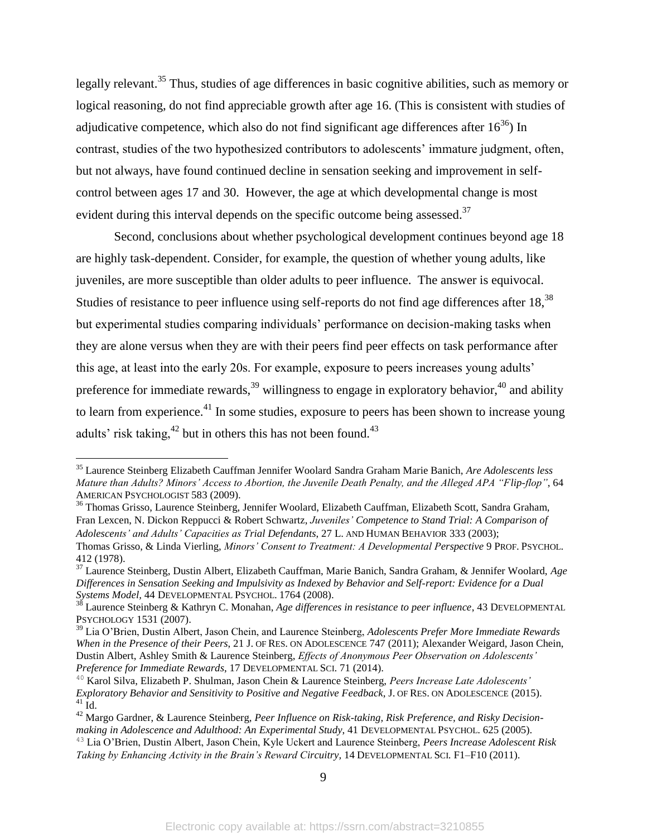legally relevant.<sup>35</sup> Thus, studies of age differences in basic cognitive abilities, such as memory or logical reasoning, do not find appreciable growth after age 16. (This is consistent with studies of adjudicative competence, which also do not find significant age differences after  $16^{36}$ ) In contrast, studies of the two hypothesized contributors to adolescents' immature judgment, often, but not always, have found continued decline in sensation seeking and improvement in selfcontrol between ages 17 and 30. However, the age at which developmental change is most evident during this interval depends on the specific outcome being assessed.<sup>37</sup>

Second, conclusions about whether psychological development continues beyond age 18 are highly task-dependent. Consider, for example, the question of whether young adults, like juveniles, are more susceptible than older adults to peer influence. The answer is equivocal. Studies of resistance to peer influence using self-reports do not find age differences after 18,<sup>38</sup> but experimental studies comparing individuals' performance on decision-making tasks when they are alone versus when they are with their peers find peer effects on task performance after this age, at least into the early 20s. For example, exposure to peers increases young adults' preference for immediate rewards,  $39$  willingness to engage in exploratory behavior,  $40$  and ability to learn from experience.<sup>41</sup> In some studies, exposure to peers has been shown to increase young adults' risk taking, $42$  but in others this has not been found. $43$ 

 $\overline{a}$ 

<sup>36</sup> Thomas Grisso, Laurence Steinberg, Jennifer Woolard, Elizabeth Cauffman, Elizabeth Scott, Sandra Graham, Fran Lexcen, N. Dickon Reppucci & Robert Schwartz, *Juveniles' Competence to Stand Trial: A Comparison of Adolescents' and Adults' Capacities as Trial Defendants*, 27 L. AND HUMAN BEHAVIOR 333 (2003);

<sup>35</sup> Laurence Steinberg Elizabeth Cauffman Jennifer Woolard Sandra Graham Marie Banich, *Are Adolescents less Mature than Adults? Minors' Access to Abortion, the Juvenile Death Penalty, and the Alleged APA "Flip-flop"*, 64 AMERICAN PSYCHOLOGIST 583 (2009).

Thomas Grisso, & Linda Vierling, *Minors' Consent to Treatment: A Developmental Perspective* 9 PROF. PSYCHOL. 412 (1978).

<sup>37</sup> Laurence Steinberg, Dustin Albert, Elizabeth Cauffman, Marie Banich, Sandra Graham, & Jennifer Woolard, *Age Differences in Sensation Seeking and Impulsivity as Indexed by Behavior and Self-report: Evidence for a Dual Systems Model,* 44 DEVELOPMENTAL PSYCHOL. 1764 (2008).

<sup>38</sup> Laurence Steinberg & Kathryn C. Monahan, *Age differences in resistance to peer influence*, 43 DEVELOPMENTAL PSYCHOLOGY 1531 (2007).

<sup>39</sup> Lia O'Brien, Dustin Albert, Jason Chein, and Laurence Steinberg, *Adolescents Prefer More Immediate Rewards When in the Presence of their Peers*, 21 J. OF RES. ON ADOLESCENCE 747 (2011); Alexander Weigard, Jason Chein, Dustin Albert, Ashley Smith & Laurence Steinberg, *Effects of Anonymous Peer Observation on Adolescents' Preference for Immediate Rewards*, 17 DEVELOPMENTAL SCI. 71 (2014).

<sup>40</sup> Karol Silva, Elizabeth P. Shulman, Jason Chein & Laurence Steinberg, *Peers Increase Late Adolescents' Exploratory Behavior and Sensitivity to Positive and Negative Feedback*, J. OF RES. ON ADOLESCENCE (2015).  $41$  Id.

<sup>42</sup> Margo Gardner, & Laurence Steinberg, *Peer Influence on Risk-taking, Risk Preference, and Risky Decisionmaking in Adolescence and Adulthood: An Experimental Study*, 41 DEVELOPMENTAL PSYCHOL. 625 (2005).

<sup>43</sup> Lia O'Brien, Dustin Albert, Jason Chein, Kyle Uckert and Laurence Steinberg, *Peers Increase Adolescent Risk*  Taking by Enhancing Activity in the Brain's Reward Circuitry, 14 DEVELOPMENTAL SCI. F1–F10 (2011).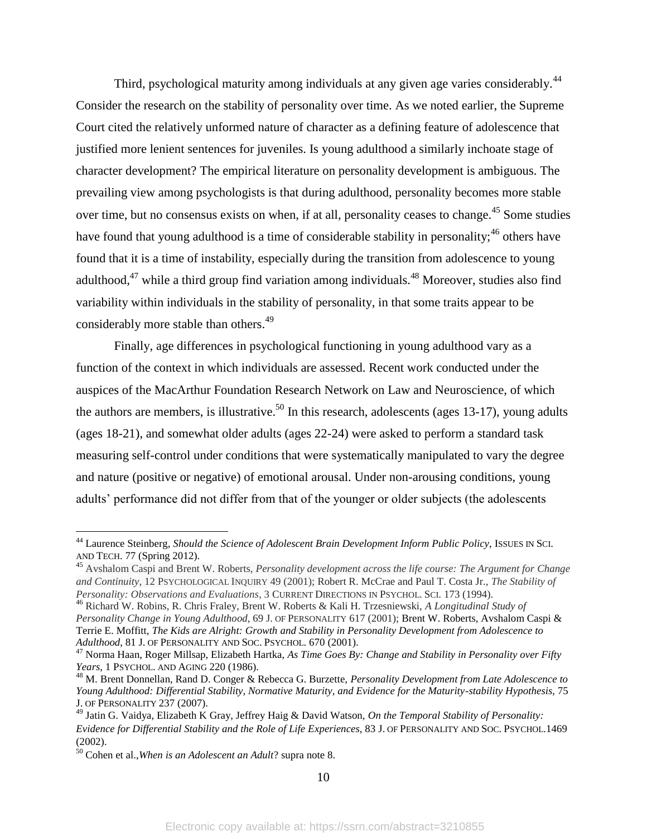Third, psychological maturity among individuals at any given age varies considerably.<sup>44</sup> Consider the research on the stability of personality over time. As we noted earlier, the Supreme Court cited the relatively unformed nature of character as a defining feature of adolescence that justified more lenient sentences for juveniles. Is young adulthood a similarly inchoate stage of character development? The empirical literature on personality development is ambiguous. The prevailing view among psychologists is that during adulthood, personality becomes more stable over time, but no consensus exists on when, if at all, personality ceases to change.<sup>45</sup> Some studies have found that young adulthood is a time of considerable stability in personality;<sup>46</sup> others have found that it is a time of instability, especially during the transition from adolescence to young adulthood, $47$  while a third group find variation among individuals.  $48$  Moreover, studies also find variability within individuals in the stability of personality, in that some traits appear to be considerably more stable than others.<sup>49</sup>

Finally, age differences in psychological functioning in young adulthood vary as a function of the context in which individuals are assessed. Recent work conducted under the auspices of the MacArthur Foundation Research Network on Law and Neuroscience, of which the authors are members, is illustrative.<sup>50</sup> In this research, adolescents (ages 13-17), young adults (ages 18-21), and somewhat older adults (ages 22-24) were asked to perform a standard task measuring self-control under conditions that were systematically manipulated to vary the degree and nature (positive or negative) of emotional arousal. Under non-arousing conditions, young adults' performance did not differ from that of the younger or older subjects (the adolescents

 $\overline{a}$ 

10

<sup>44</sup> Laurence Steinberg, *Should the Science of Adolescent Brain Development Inform Public Policy*, ISSUES IN SCI. AND TECH. 77 (Spring 2012).

<sup>45</sup> Avshalom Caspi and Brent W. Roberts, *Personality development across the life course: The Argument for Change and Continuity*, 12 PSYCHOLOGICAL INQUIRY 49 (2001); Robert R. McCrae and Paul T. Costa Jr., *The Stability of Personality: Observations and Evaluations*, 3 CURRENT DIRECTIONS IN PSYCHOL. SCI. 173 (1994).

<sup>46</sup> Richard W. Robins, R. Chris Fraley, Brent W. Roberts & Kali H. Trzesniewski, *A Longitudinal Study of Personality Change in Young Adulthood*, 69 J. OF PERSONALITY 617 (2001); Brent W. Roberts, Avshalom Caspi & Terrie E. Moffitt, *The Kids are Alright: Growth and Stability in Personality Development from Adolescence to Adulthood*, 81 J. OF PERSONALITY AND SOC. PSYCHOL. 670 (2001).

<sup>47</sup> Norma Haan, Roger Millsap, Elizabeth Hartka, *As Time Goes By: Change and Stability in Personality over Fifty Years*, 1 PSYCHOL. AND AGING 220 (1986).

<sup>48</sup> M. Brent Donnellan, Rand D. Conger & Rebecca G. Burzette, *Personality Development from Late Adolescence to Young Adulthood: Differential Stability, Normative Maturity, and Evidence for the Maturity-stability Hypothesis*, 75 J. OF PERSONALITY 237 (2007).

<sup>49</sup> Jatin G. Vaidya, Elizabeth K Gray, Jeffrey Haig & David Watson, *On the Temporal Stability of Personality: Evidence for Differential Stability and the Role of Life Experiences*, 83 J. OF PERSONALITY AND SOC. PSYCHOL.1469 (2002).

<sup>50</sup> Cohen et al.,*When is an Adolescent an Adult*? supra note 8.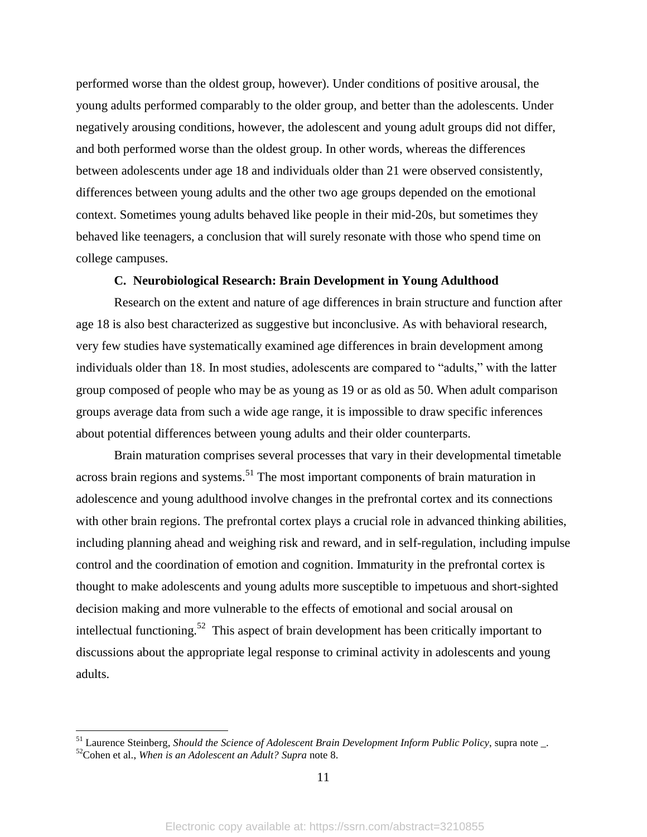performed worse than the oldest group, however). Under conditions of positive arousal, the young adults performed comparably to the older group, and better than the adolescents. Under negatively arousing conditions, however, the adolescent and young adult groups did not differ, and both performed worse than the oldest group. In other words, whereas the differences between adolescents under age 18 and individuals older than 21 were observed consistently, differences between young adults and the other two age groups depended on the emotional context. Sometimes young adults behaved like people in their mid-20s, but sometimes they behaved like teenagers, a conclusion that will surely resonate with those who spend time on college campuses.

#### **C. Neurobiological Research: Brain Development in Young Adulthood**

Research on the extent and nature of age differences in brain structure and function after age 18 is also best characterized as suggestive but inconclusive. As with behavioral research, very few studies have systematically examined age differences in brain development among individuals older than 18. In most studies, adolescents are compared to "adults," with the latter group composed of people who may be as young as 19 or as old as 50. When adult comparison groups average data from such a wide age range, it is impossible to draw specific inferences about potential differences between young adults and their older counterparts.

Brain maturation comprises several processes that vary in their developmental timetable across brain regions and systems.<sup>51</sup> The most important components of brain maturation in adolescence and young adulthood involve changes in the prefrontal cortex and its connections with other brain regions. The prefrontal cortex plays a crucial role in advanced thinking abilities, including planning ahead and weighing risk and reward, and in self-regulation, including impulse control and the coordination of emotion and cognition. Immaturity in the prefrontal cortex is thought to make adolescents and young adults more susceptible to impetuous and short-sighted decision making and more vulnerable to the effects of emotional and social arousal on intellectual functioning.<sup>52</sup> This aspect of brain development has been critically important to discussions about the appropriate legal response to criminal activity in adolescents and young adults.

<sup>51</sup> Laurence Steinberg, *Should the Science of Adolescent Brain Development Inform Public Policy*, supra note \_. <sup>52</sup>Cohen et al., *When is an Adolescent an Adult? Supra* note 8.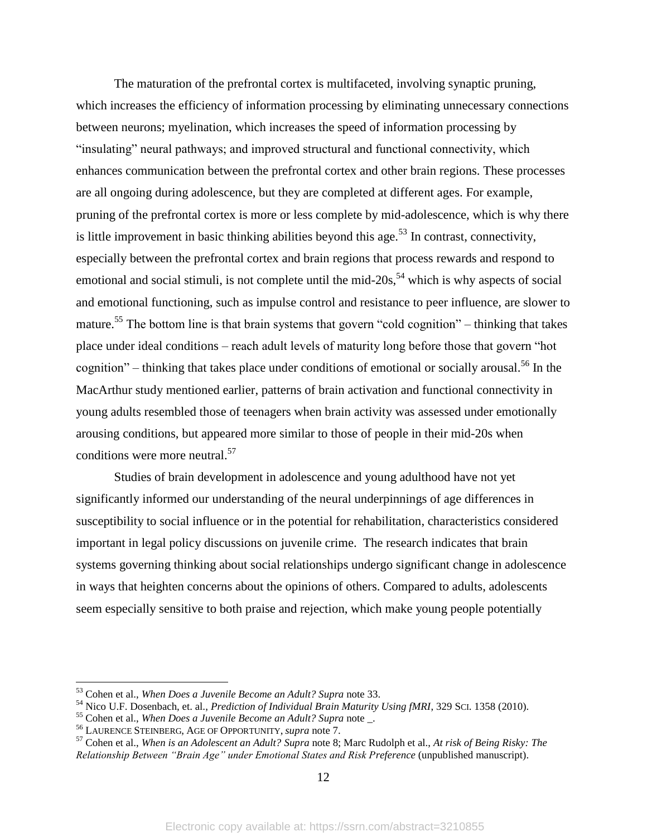The maturation of the prefrontal cortex is multifaceted, involving synaptic pruning, which increases the efficiency of information processing by eliminating unnecessary connections between neurons; myelination, which increases the speed of information processing by "insulating" neural pathways; and improved structural and functional connectivity, which enhances communication between the prefrontal cortex and other brain regions. These processes are all ongoing during adolescence, but they are completed at different ages. For example, pruning of the prefrontal cortex is more or less complete by mid-adolescence, which is why there is little improvement in basic thinking abilities beyond this age.<sup>53</sup> In contrast, connectivity, especially between the prefrontal cortex and brain regions that process rewards and respond to emotional and social stimuli, is not complete until the mid- $20s$ ,<sup>54</sup> which is why aspects of social and emotional functioning, such as impulse control and resistance to peer influence, are slower to mature.<sup>55</sup> The bottom line is that brain systems that govern "cold cognition" – thinking that takes place under ideal conditions – reach adult levels of maturity long before those that govern "hot cognition" – thinking that takes place under conditions of emotional or socially arousal.<sup>56</sup> In the MacArthur study mentioned earlier, patterns of brain activation and functional connectivity in young adults resembled those of teenagers when brain activity was assessed under emotionally arousing conditions, but appeared more similar to those of people in their mid-20s when conditions were more neutral.<sup>57</sup>

Studies of brain development in adolescence and young adulthood have not yet significantly informed our understanding of the neural underpinnings of age differences in susceptibility to social influence or in the potential for rehabilitation, characteristics considered important in legal policy discussions on juvenile crime. The research indicates that brain systems governing thinking about social relationships undergo significant change in adolescence in ways that heighten concerns about the opinions of others. Compared to adults, adolescents seem especially sensitive to both praise and rejection, which make young people potentially

<sup>53</sup> Cohen et al., *When Does a Juvenile Become an Adult? Supra* note 33.

<sup>54</sup> Nico U.F. Dosenbach, et. al., *Prediction of Individual Brain Maturity Using fMRI*, 329 SCI. 1358 (2010).

<sup>55</sup> Cohen et al., *When Does a Juvenile Become an Adult? Supra* note \_.

<sup>56</sup> LAURENCE STEINBERG, AGE OF OPPORTUNITY, *supra* note 7.

<sup>57</sup> Cohen et al., *When is an Adolescent an Adult? Supra* note 8; Marc Rudolph et al., *At risk of Being Risky: The Relationship Between "Brain Age" under Emotional States and Risk Preference* (unpublished manuscript).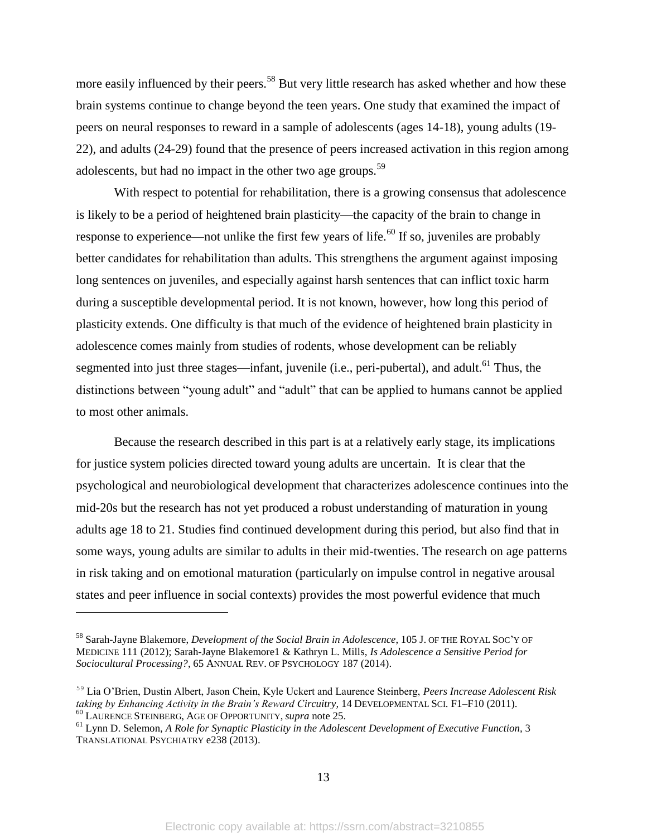more easily influenced by their peers.<sup>58</sup> But very little research has asked whether and how these brain systems continue to change beyond the teen years. One study that examined the impact of peers on neural responses to reward in a sample of adolescents (ages 14-18), young adults (19- 22), and adults (24-29) found that the presence of peers increased activation in this region among adolescents, but had no impact in the other two age groups.<sup>59</sup>

With respect to potential for rehabilitation, there is a growing consensus that adolescence is likely to be a period of heightened brain plasticity—the capacity of the brain to change in response to experience—not unlike the first few years of life.<sup>60</sup> If so, juveniles are probably better candidates for rehabilitation than adults. This strengthens the argument against imposing long sentences on juveniles, and especially against harsh sentences that can inflict toxic harm during a susceptible developmental period. It is not known, however, how long this period of plasticity extends. One difficulty is that much of the evidence of heightened brain plasticity in adolescence comes mainly from studies of rodents, whose development can be reliably segmented into just three stages—infant, juvenile (i.e., peri-pubertal), and adult.<sup>61</sup> Thus, the distinctions between "young adult" and "adult" that can be applied to humans cannot be applied to most other animals.

Because the research described in this part is at a relatively early stage, its implications for justice system policies directed toward young adults are uncertain. It is clear that the psychological and neurobiological development that characterizes adolescence continues into the mid-20s but the research has not yet produced a robust understanding of maturation in young adults age 18 to 21. Studies find continued development during this period, but also find that in some ways, young adults are similar to adults in their mid-twenties. The research on age patterns in risk taking and on emotional maturation (particularly on impulse control in negative arousal states and peer influence in social contexts) provides the most powerful evidence that much

<sup>58</sup> Sarah-Jayne Blakemore, *Development of the Social Brain in Adolescence*, 105 J. OF THE ROYAL SOC'Y OF MEDICINE 111 (2012); Sarah-Jayne Blakemore1 & Kathryn L. Mills, *Is Adolescence a Sensitive Period for Sociocultural Processing?*, 65 ANNUAL REV. OF PSYCHOLOGY 187 (2014).

<sup>59</sup> Lia O'Brien, Dustin Albert, Jason Chein, Kyle Uckert and Laurence Steinberg, *Peers Increase Adolescent Risk taking by Enhancing Activity in the Brain's Reward Circuitry, 14 DEVELOPMENTAL SCI. F1-F10 (2011).* <sup>60</sup> LAURENCE STEINBERG, AGE OF OPPORTUNITY, *supra* note 25.

<sup>61</sup> Lynn D. Selemon, *A Role for Synaptic Plasticity in the Adolescent Development of Executive Function,* 3 TRANSLATIONAL PSYCHIATRY e238 (2013).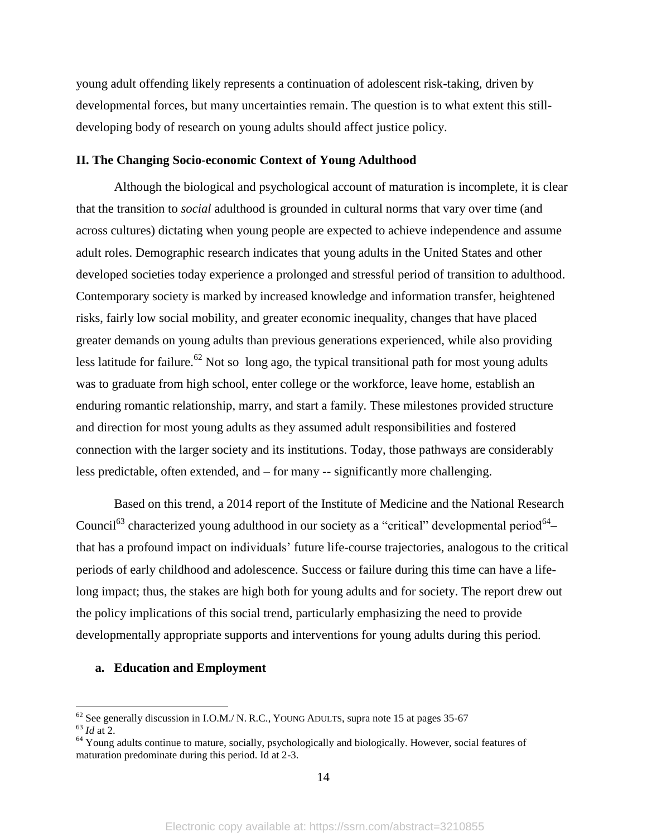young adult offending likely represents a continuation of adolescent risk-taking, driven by developmental forces, but many uncertainties remain. The question is to what extent this stilldeveloping body of research on young adults should affect justice policy.

#### **II. The Changing Socio-economic Context of Young Adulthood**

Although the biological and psychological account of maturation is incomplete, it is clear that the transition to *social* adulthood is grounded in cultural norms that vary over time (and across cultures) dictating when young people are expected to achieve independence and assume adult roles. Demographic research indicates that young adults in the United States and other developed societies today experience a prolonged and stressful period of transition to adulthood. Contemporary society is marked by increased knowledge and information transfer, heightened risks, fairly low social mobility, and greater economic inequality, changes that have placed greater demands on young adults than previous generations experienced, while also providing less latitude for failure.<sup>62</sup> Not so long ago, the typical transitional path for most young adults was to graduate from high school, enter college or the workforce, leave home, establish an enduring romantic relationship, marry, and start a family. These milestones provided structure and direction for most young adults as they assumed adult responsibilities and fostered connection with the larger society and its institutions. Today, those pathways are considerably less predictable, often extended, and – for many -- significantly more challenging.

Based on this trend, a 2014 report of the Institute of Medicine and the National Research Council<sup>63</sup> characterized young adulthood in our society as a "critical" developmental period<sup>64</sup> that has a profound impact on individuals' future life-course trajectories, analogous to the critical periods of early childhood and adolescence. Success or failure during this time can have a lifelong impact; thus, the stakes are high both for young adults and for society. The report drew out the policy implications of this social trend, particularly emphasizing the need to provide developmentally appropriate supports and interventions for young adults during this period.

#### **a. Education and Employment**

 $62$  See generally discussion in I.O.M./ N. R.C., YOUNG ADULTS, supra note 15 at pages 35-67

<sup>63</sup> *Id* at 2.

<sup>&</sup>lt;sup>64</sup> Young adults continue to mature, socially, psychologically and biologically. However, social features of maturation predominate during this period. Id at 2-3.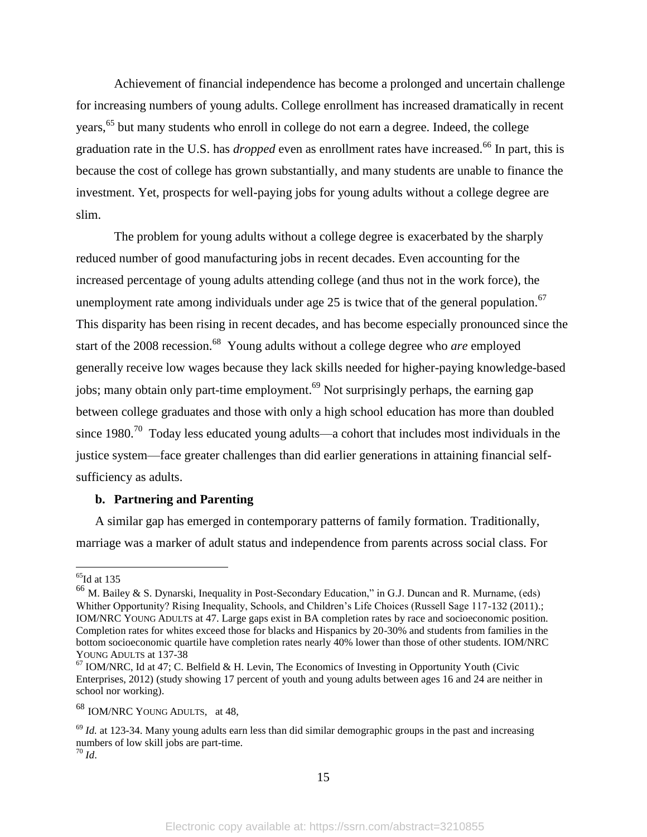Achievement of financial independence has become a prolonged and uncertain challenge for increasing numbers of young adults. College enrollment has increased dramatically in recent years,<sup>65</sup> but many students who enroll in college do not earn a degree. Indeed, the college graduation rate in the U.S. has *dropped* even as enrollment rates have increased.<sup>66</sup> In part, this is because the cost of college has grown substantially, and many students are unable to finance the investment. Yet, prospects for well-paying jobs for young adults without a college degree are slim.

The problem for young adults without a college degree is exacerbated by the sharply reduced number of good manufacturing jobs in recent decades. Even accounting for the increased percentage of young adults attending college (and thus not in the work force), the unemployment rate among individuals under age 25 is twice that of the general population.<sup>67</sup> This disparity has been rising in recent decades, and has become especially pronounced since the start of the 2008 recession.<sup>68</sup> Young adults without a college degree who *are* employed generally receive low wages because they lack skills needed for higher-paying knowledge-based jobs; many obtain only part-time employment.<sup>69</sup> Not surprisingly perhaps, the earning gap between college graduates and those with only a high school education has more than doubled since 1980.<sup>70</sup> Today less educated young adults—a cohort that includes most individuals in the justice system—face greater challenges than did earlier generations in attaining financial selfsufficiency as adults.

#### **b. Partnering and Parenting**

A similar gap has emerged in contemporary patterns of family formation. Traditionally, marriage was a marker of adult status and independence from parents across social class. For

 $\overline{a}$ 

<sup>68</sup> IOM/NRC YOUNG ADULTS, at 48,

 $<sup>65</sup>$ Id at 135</sup>

<sup>66</sup> M. Bailey & S. Dynarski, Inequality in Post-Secondary Education," in G.J. Duncan and R. Murname, (eds) Whither Opportunity? Rising Inequality, Schools, and Children's Life Choices (Russell Sage 117-132 (2011).; IOM/NRC YOUNG ADULTS at 47. Large gaps exist in BA completion rates by race and socioeconomic position. Completion rates for whites exceed those for blacks and Hispanics by 20-30% and students from families in the bottom socioeconomic quartile have completion rates nearly 40% lower than those of other students. IOM/NRC YOUNG ADULTS at 137-38

 $67$  IOM/NRC, Id at 47; C. Belfield & H. Levin, The Economics of Investing in Opportunity Youth (Civic Enterprises, 2012) (study showing 17 percent of youth and young adults between ages 16 and 24 are neither in school nor working).

<sup>&</sup>lt;sup>69</sup> *Id.* at 123-34. Many young adults earn less than did similar demographic groups in the past and increasing numbers of low skill jobs are part-time.  $^{70}$  *Id.*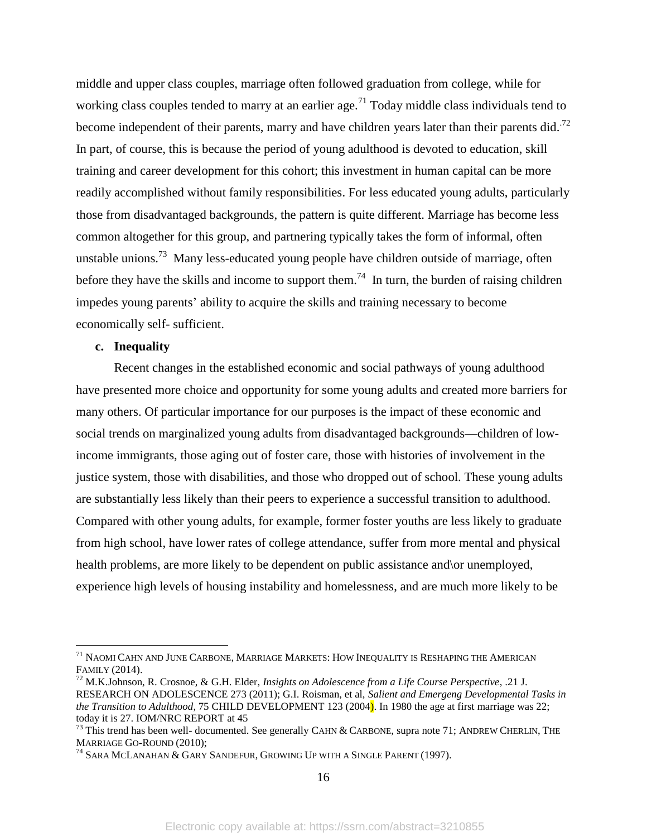middle and upper class couples, marriage often followed graduation from college, while for working class couples tended to marry at an earlier age.<sup>71</sup> Today middle class individuals tend to become independent of their parents, marry and have children years later than their parents did.<sup>72</sup> In part, of course, this is because the period of young adulthood is devoted to education, skill training and career development for this cohort; this investment in human capital can be more readily accomplished without family responsibilities. For less educated young adults, particularly those from disadvantaged backgrounds, the pattern is quite different. Marriage has become less common altogether for this group, and partnering typically takes the form of informal, often unstable unions.<sup>73</sup> Many less-educated young people have children outside of marriage, often before they have the skills and income to support them.<sup>74</sup> In turn, the burden of raising children impedes young parents' ability to acquire the skills and training necessary to become economically self- sufficient.

#### **c. Inequality**

 $\overline{a}$ 

Recent changes in the established economic and social pathways of young adulthood have presented more choice and opportunity for some young adults and created more barriers for many others. Of particular importance for our purposes is the impact of these economic and social trends on marginalized young adults from disadvantaged backgrounds—children of lowincome immigrants, those aging out of foster care, those with histories of involvement in the justice system, those with disabilities, and those who dropped out of school. These young adults are substantially less likely than their peers to experience a successful transition to adulthood. Compared with other young adults, for example, former foster youths are less likely to graduate from high school, have lower rates of college attendance, suffer from more mental and physical health problems, are more likely to be dependent on public assistance and or unemployed, experience high levels of housing instability and homelessness, and are much more likely to be

16

 $^{71}$  Naomi Cahn and June Carbone, Marriage Markets: How Inequality is Reshaping the American FAMILY (2014).

<sup>72</sup> M.K.Johnson, R. Crosnoe, & G.H. Elder, *Insights on Adolescence from a Life Course Perspective*, .21 J. RESEARCH ON ADOLESCENCE 273 (2011); G.I. Roisman, et al, *Salient and Emergeng Developmental Tasks in the Transition to Adulthood*, 75 CHILD DEVELOPMENT 123 (2004). In 1980 the age at first marriage was 22; today it is 27. IOM/NRC REPORT at 45

 $^{73}$  This trend has been well- documented. See generally CAHN & CARBONE, supra note 71; ANDREW CHERLIN, THE MARRIAGE GO-ROUND (2010);

 $^{74}$  Sara McLanahan & Gary Sandefur, Growing Up with a Single Parent (1997).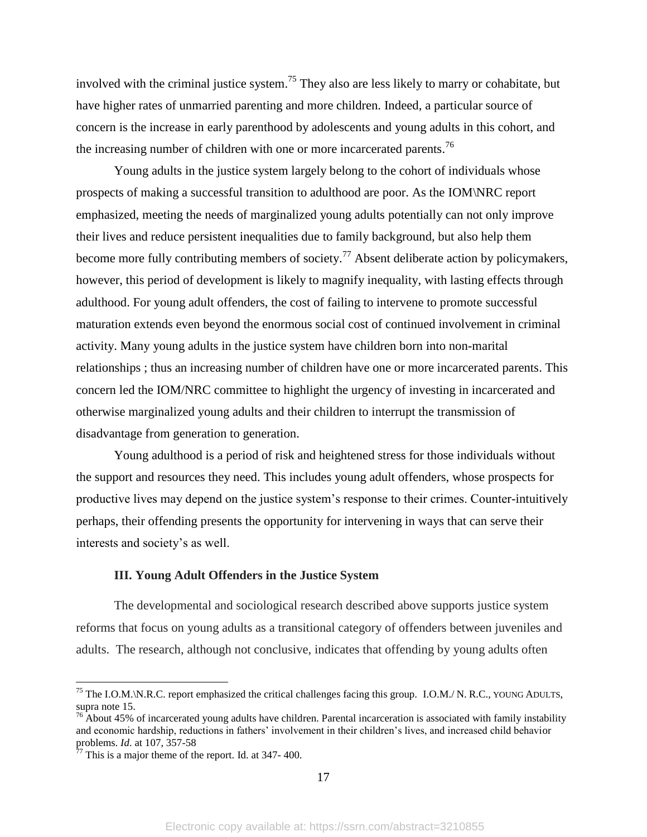involved with the criminal justice system.<sup>75</sup> They also are less likely to marry or cohabitate, but have higher rates of unmarried parenting and more children. Indeed, a particular source of concern is the increase in early parenthood by adolescents and young adults in this cohort, and the increasing number of children with one or more incarcerated parents.<sup>76</sup>

Young adults in the justice system largely belong to the cohort of individuals whose prospects of making a successful transition to adulthood are poor. As the IOM\NRC report emphasized, meeting the needs of marginalized young adults potentially can not only improve their lives and reduce persistent inequalities due to family background, but also help them become more fully contributing members of society.<sup>77</sup> Absent deliberate action by policymakers, however, this period of development is likely to magnify inequality, with lasting effects through adulthood. For young adult offenders, the cost of failing to intervene to promote successful maturation extends even beyond the enormous social cost of continued involvement in criminal activity. Many young adults in the justice system have children born into non-marital relationships ; thus an increasing number of children have one or more incarcerated parents. This concern led the IOM/NRC committee to highlight the urgency of investing in incarcerated and otherwise marginalized young adults and their children to interrupt the transmission of disadvantage from generation to generation.

Young adulthood is a period of risk and heightened stress for those individuals without the support and resources they need. This includes young adult offenders, whose prospects for productive lives may depend on the justice system's response to their crimes. Counter-intuitively perhaps, their offending presents the opportunity for intervening in ways that can serve their interests and society's as well.

#### **III. Young Adult Offenders in the Justice System**

The developmental and sociological research described above supports justice system reforms that focus on young adults as a transitional category of offenders between juveniles and adults. The research, although not conclusive, indicates that offending by young adults often

 $^{75}$  The I.O.M.\N.R.C. report emphasized the critical challenges facing this group. I.O.M./ N. R.C., YOUNG ADULTS, supra note 15.

 $76$  About 45% of incarcerated young adults have children. Parental incarceration is associated with family instability and economic hardship, reductions in fathers' involvement in their children's lives, and increased child behavior problems. *Id*. at 107, 357-58

 $77$  This is a major theme of the report. Id. at 347-400.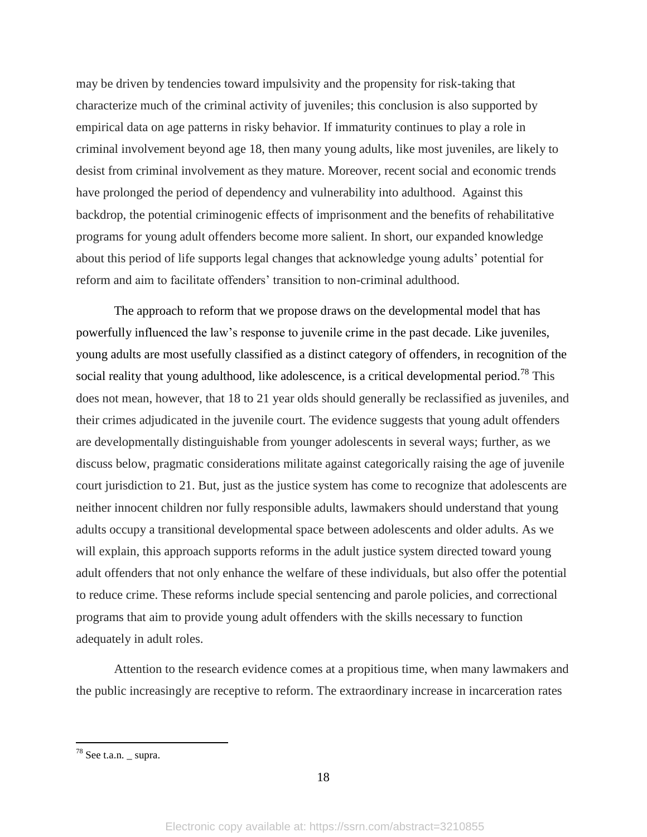may be driven by tendencies toward impulsivity and the propensity for risk-taking that characterize much of the criminal activity of juveniles; this conclusion is also supported by empirical data on age patterns in risky behavior. If immaturity continues to play a role in criminal involvement beyond age 18, then many young adults, like most juveniles, are likely to desist from criminal involvement as they mature. Moreover, recent social and economic trends have prolonged the period of dependency and vulnerability into adulthood. Against this backdrop, the potential criminogenic effects of imprisonment and the benefits of rehabilitative programs for young adult offenders become more salient. In short, our expanded knowledge about this period of life supports legal changes that acknowledge young adults' potential for reform and aim to facilitate offenders' transition to non-criminal adulthood.

The approach to reform that we propose draws on the developmental model that has powerfully influenced the law's response to juvenile crime in the past decade. Like juveniles, young adults are most usefully classified as a distinct category of offenders, in recognition of the social reality that young adulthood, like adolescence, is a critical developmental period.<sup>78</sup> This does not mean, however, that 18 to 21 year olds should generally be reclassified as juveniles, and their crimes adjudicated in the juvenile court. The evidence suggests that young adult offenders are developmentally distinguishable from younger adolescents in several ways; further, as we discuss below, pragmatic considerations militate against categorically raising the age of juvenile court jurisdiction to 21. But, just as the justice system has come to recognize that adolescents are neither innocent children nor fully responsible adults, lawmakers should understand that young adults occupy a transitional developmental space between adolescents and older adults. As we will explain, this approach supports reforms in the adult justice system directed toward young adult offenders that not only enhance the welfare of these individuals, but also offer the potential to reduce crime. These reforms include special sentencing and parole policies, and correctional programs that aim to provide young adult offenders with the skills necessary to function adequately in adult roles.

Attention to the research evidence comes at a propitious time, when many lawmakers and the public increasingly are receptive to reform. The extraordinary increase in incarceration rates

 $78$  See t.a.n.  $\angle$  supra.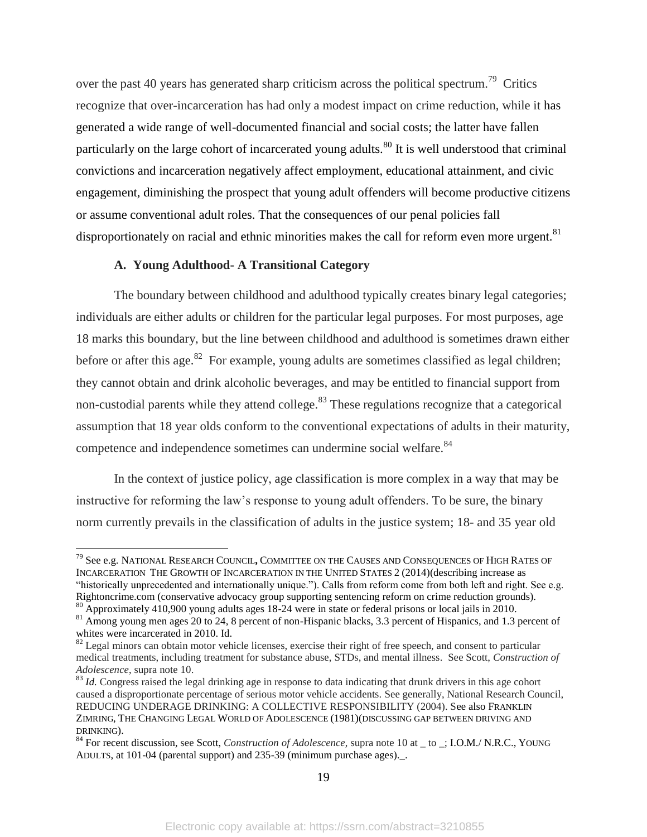over the past 40 years has generated sharp criticism across the political spectrum.<sup>79</sup> Critics recognize that over-incarceration has had only a modest impact on crime reduction, while it has generated a wide range of well-documented financial and social costs; the latter have fallen particularly on the large cohort of incarcerated young adults.<sup>80</sup> It is well understood that criminal convictions and incarceration negatively affect employment, educational attainment, and civic engagement, diminishing the prospect that young adult offenders will become productive citizens or assume conventional adult roles. That the consequences of our penal policies fall disproportionately on racial and ethnic minorities makes the call for reform even more urgent.<sup>81</sup>

#### **A. Young Adulthood- A Transitional Category**

 $\overline{a}$ 

The boundary between childhood and adulthood typically creates binary legal categories; individuals are either adults or children for the particular legal purposes. For most purposes, age 18 marks this boundary, but the line between childhood and adulthood is sometimes drawn either before or after this age.<sup>82</sup> For example, young adults are sometimes classified as legal children; they cannot obtain and drink alcoholic beverages, and may be entitled to financial support from non-custodial parents while they attend college.<sup>83</sup> These regulations recognize that a categorical assumption that 18 year olds conform to the conventional expectations of adults in their maturity, competence and independence sometimes can undermine social welfare.<sup>84</sup>

In the context of justice policy, age classification is more complex in a way that may be instructive for reforming the law's response to young adult offenders. To be sure, the binary norm currently prevails in the classification of adults in the justice system; 18- and 35 year old

<sup>79</sup> See e.g. NATIONAL RESEARCH COUNCIL**,** COMMITTEE ON THE CAUSES AND CONSEQUENCES OF HIGH RATES OF INCARCERATION THE GROWTH OF INCARCERATION IN THE UNITED STATES 2 (2014)(describing increase as "historically unprecedented and internationally unique."). Calls from reform come from both left and right. See e.g. Rightoncrime.com (conservative advocacy group supporting sentencing reform on crime reduction grounds).

<sup>&</sup>lt;sup>80</sup> Approximately 410,900 young adults ages 18-24 were in state or federal prisons or local jails in 2010.

<sup>&</sup>lt;sup>81</sup> Among young men ages 20 to 24, 8 percent of non-Hispanic blacks, 3.3 percent of Hispanics, and 1.3 percent of whites were incarcerated in 2010. Id.

 $82$  Legal minors can obtain motor vehicle licenses, exercise their right of free speech, and consent to particular medical treatments, including treatment for substance abuse, STDs, and mental illness. See Scott, *Construction of Adolescence*, supra note 10.

<sup>&</sup>lt;sup>83</sup> *Id.* Congress raised the legal drinking age in response to data indicating that drunk drivers in this age cohort caused a disproportionate percentage of serious motor vehicle accidents. See generally, National Research Council, REDUCING UNDERAGE DRINKING: A COLLECTIVE RESPONSIBILITY (2004). See also FRANKLIN ZIMRING, THE CHANGING LEGAL WORLD OF ADOLESCENCE (1981)(DISCUSSING GAP BETWEEN DRIVING AND DRINKING).

<sup>84</sup> For recent discussion, see Scott, *Construction of Adolescence*, supra note 10 at \_ to \_; I.O.M./ N.R.C., YOUNG ADULTS, at 101-04 (parental support) and 235-39 (minimum purchase ages)...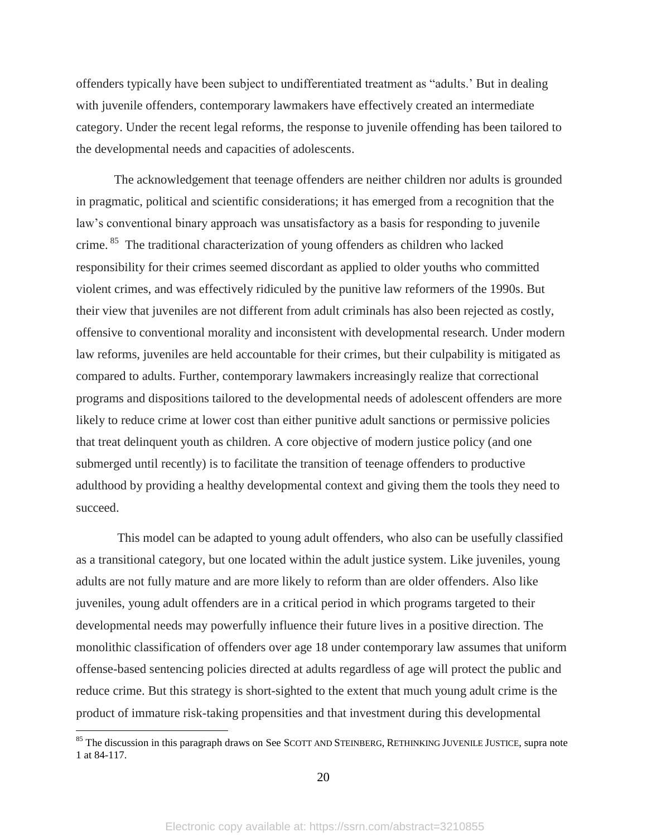offenders typically have been subject to undifferentiated treatment as "adults.' But in dealing with juvenile offenders, contemporary lawmakers have effectively created an intermediate category. Under the recent legal reforms, the response to juvenile offending has been tailored to the developmental needs and capacities of adolescents.

The acknowledgement that teenage offenders are neither children nor adults is grounded in pragmatic, political and scientific considerations; it has emerged from a recognition that the law's conventional binary approach was unsatisfactory as a basis for responding to juvenile crime.<sup>85</sup> The traditional characterization of young offenders as children who lacked responsibility for their crimes seemed discordant as applied to older youths who committed violent crimes, and was effectively ridiculed by the punitive law reformers of the 1990s. But their view that juveniles are not different from adult criminals has also been rejected as costly, offensive to conventional morality and inconsistent with developmental research. Under modern law reforms, juveniles are held accountable for their crimes, but their culpability is mitigated as compared to adults. Further, contemporary lawmakers increasingly realize that correctional programs and dispositions tailored to the developmental needs of adolescent offenders are more likely to reduce crime at lower cost than either punitive adult sanctions or permissive policies that treat delinquent youth as children. A core objective of modern justice policy (and one submerged until recently) is to facilitate the transition of teenage offenders to productive adulthood by providing a healthy developmental context and giving them the tools they need to succeed.

This model can be adapted to young adult offenders, who also can be usefully classified as a transitional category, but one located within the adult justice system. Like juveniles, young adults are not fully mature and are more likely to reform than are older offenders. Also like juveniles, young adult offenders are in a critical period in which programs targeted to their developmental needs may powerfully influence their future lives in a positive direction. The monolithic classification of offenders over age 18 under contemporary law assumes that uniform offense-based sentencing policies directed at adults regardless of age will protect the public and reduce crime. But this strategy is short-sighted to the extent that much young adult crime is the product of immature risk-taking propensities and that investment during this developmental

 $85$  The discussion in this paragraph draws on See SCOTT AND STEINBERG, RETHINKING JUVENILE JUSTICE, supra note 1 at 84-117.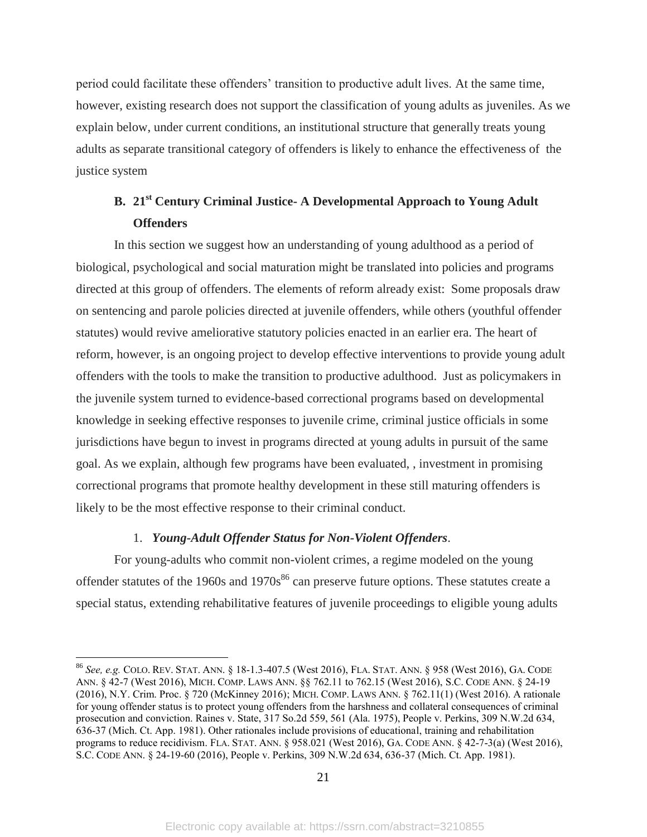period could facilitate these offenders' transition to productive adult lives. At the same time, however, existing research does not support the classification of young adults as juveniles. As we explain below, under current conditions, an institutional structure that generally treats young adults as separate transitional category of offenders is likely to enhance the effectiveness of the justice system

# **B. 21st Century Criminal Justice- A Developmental Approach to Young Adult Offenders**

In this section we suggest how an understanding of young adulthood as a period of biological, psychological and social maturation might be translated into policies and programs directed at this group of offenders. The elements of reform already exist: Some proposals draw on sentencing and parole policies directed at juvenile offenders, while others (youthful offender statutes) would revive ameliorative statutory policies enacted in an earlier era. The heart of reform, however, is an ongoing project to develop effective interventions to provide young adult offenders with the tools to make the transition to productive adulthood. Just as policymakers in the juvenile system turned to evidence-based correctional programs based on developmental knowledge in seeking effective responses to juvenile crime, criminal justice officials in some jurisdictions have begun to invest in programs directed at young adults in pursuit of the same goal. As we explain, although few programs have been evaluated, , investment in promising correctional programs that promote healthy development in these still maturing offenders is likely to be the most effective response to their criminal conduct.

### 1. *Young-Adult Offender Status for Non-Violent Offenders*.

 $\overline{a}$ 

For young-adults who commit non-violent crimes, a regime modeled on the young offender statutes of the 1960s and  $1970s^{86}$  can preserve future options. These statutes create a special status, extending rehabilitative features of juvenile proceedings to eligible young adults

<sup>86</sup> *See, e.g.* COLO. REV. STAT. ANN. § 18-1.3-407.5 (West 2016), FLA. STAT. ANN. § 958 (West 2016), GA. CODE ANN. § 42-7 (West 2016), MICH. COMP. LAWS ANN. §§ 762.11 to 762.15 (West 2016), S.C. CODE ANN. § 24-19 (2016), N.Y. Crim. Proc. § 720 (McKinney 2016); MICH. COMP. LAWS ANN. § 762.11(1) (West 2016). A rationale for young offender status is to protect young offenders from the harshness and collateral consequences of criminal prosecution and conviction. Raines v. State, 317 So.2d 559, 561 (Ala. 1975), People v. Perkins, 309 N.W.2d 634, 636-37 (Mich. Ct. App. 1981). Other rationales include provisions of educational, training and rehabilitation programs to reduce recidivism. FLA. STAT. ANN. § 958.021 (West 2016), GA. CODE ANN. § 42-7-3(a) (West 2016), S.C. CODE ANN. § 24-19-60 (2016), People v. Perkins, 309 N.W.2d 634, 636-37 (Mich. Ct. App. 1981).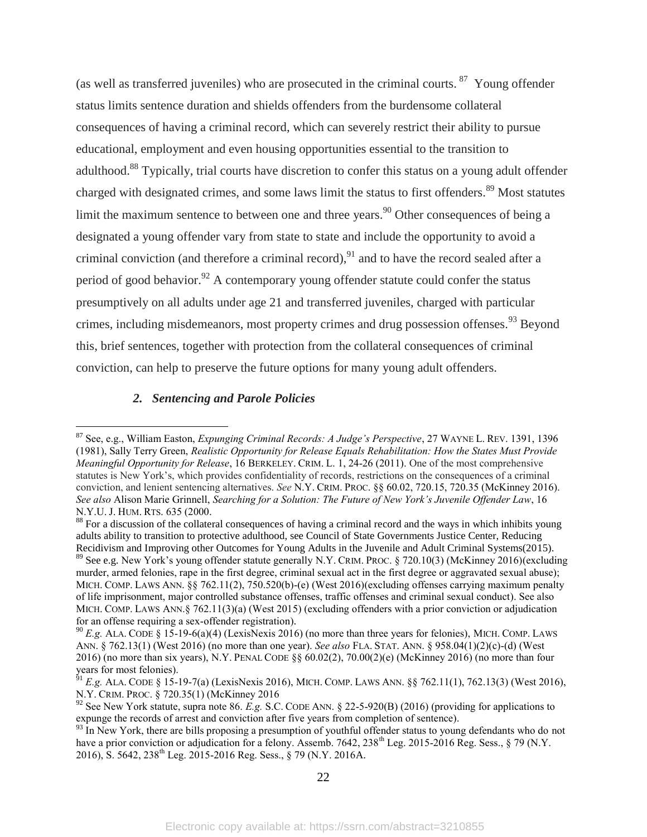(as well as transferred juveniles) who are prosecuted in the criminal courts.  $87$  Young offender status limits sentence duration and shields offenders from the burdensome collateral consequences of having a criminal record, which can severely restrict their ability to pursue educational, employment and even housing opportunities essential to the transition to adulthood.<sup>88</sup> Typically, trial courts have discretion to confer this status on a young adult offender charged with designated crimes, and some laws limit the status to first offenders.<sup>89</sup> Most statutes limit the maximum sentence to between one and three years.<sup>90</sup> Other consequences of being a designated a young offender vary from state to state and include the opportunity to avoid a criminal conviction (and therefore a criminal record),  $91$  and to have the record sealed after a period of good behavior.<sup>92</sup> A contemporary young offender statute could confer the status presumptively on all adults under age 21 and transferred juveniles, charged with particular crimes, including misdemeanors, most property crimes and drug possession offenses.<sup>93</sup> Beyond this, brief sentences, together with protection from the collateral consequences of criminal conviction, can help to preserve the future options for many young adult offenders.

### *2. Sentencing and Parole Policies*

<sup>87</sup> See, e.g., William Easton, *Expunging Criminal Records: A Judge's Perspective*, 27 WAYNE L. REV. 1391, 1396 (1981), Sally Terry Green, *Realistic Opportunity for Release Equals Rehabilitation: How the States Must Provide Meaningful Opportunity for Release*, 16 BERKELEY. CRIM. L. 1, 24-26 (2011). One of the most comprehensive statutes is New York's, which provides confidentiality of records, restrictions on the consequences of a criminal conviction, and lenient sentencing alternatives. *See* N.Y. CRIM. PROC. §§ 60.02, 720.15, 720.35 (McKinney 2016). *See also* Alison Marie Grinnell, *Searching for a Solution: The Future of New York's Juvenile Offender Law*, 16 N.Y.U. J. HUM. RTS. 635 (2000.

<sup>&</sup>lt;sup>88</sup> For a discussion of the collateral consequences of having a criminal record and the ways in which inhibits young adults ability to transition to protective adulthood, see Council of State Governments Justice Center, Reducing Recidivism and Improving other Outcomes for Young Adults in the Juvenile and Adult Criminal Systems(2015). <sup>89</sup> See e.g. New York's young offender statute generally N.Y. CRIM. PROC. § 720.10(3) (McKinney 2016)(excluding murder, armed felonies, rape in the first degree, criminal sexual act in the first degree or aggravated sexual abuse); MICH. COMP. LAWS ANN. §§ 762.11(2), 750.520(b)-(e) (West 2016)(excluding offenses carrying maximum penalty of life imprisonment, major controlled substance offenses, traffic offenses and criminal sexual conduct). See also

MICH. COMP. LAWS ANN.§ 762.11(3)(a) (West 2015) (excluding offenders with a prior conviction or adjudication for an offense requiring a sex-offender registration).

<sup>90</sup> *E.g.* ALA. CODE § 15-19-6(a)(4) (LexisNexis 2016) (no more than three years for felonies), MICH. COMP. LAWS ANN. § 762.13(1) (West 2016) (no more than one year). *See also* FLA. STAT. ANN. § 958.04(1)(2)(c)-(d) (West 2016) (no more than six years), N.Y. PENAL CODE §§ 60.02(2), 70.00(2)(e) (McKinney 2016) (no more than four years for most felonies).

<sup>&</sup>lt;sup>51</sup> *E.g.* ALA. CODE § 15-19-7(a) (LexisNexis 2016), MICH. COMP. LAWS ANN. §§ 762.11(1), 762.13(3) (West 2016), N.Y. CRIM. PROC. § 720.35(1) (McKinney 2016

<sup>92</sup> See New York statute, supra note 86. *E.g.* S.C. CODE ANN. § 22-5-920(B) (2016) (providing for applications to expunge the records of arrest and conviction after five years from completion of sentence).

 $93$  In New York, there are bills proposing a presumption of youthful offender status to young defendants who do not have a prior conviction or adjudication for a felony. Assemb. 7642, 238<sup>th</sup> Leg. 2015-2016 Reg. Sess., § 79 (N.Y. 2016), S. 5642, 238th Leg. 2015-2016 Reg. Sess., § 79 (N.Y. 2016A.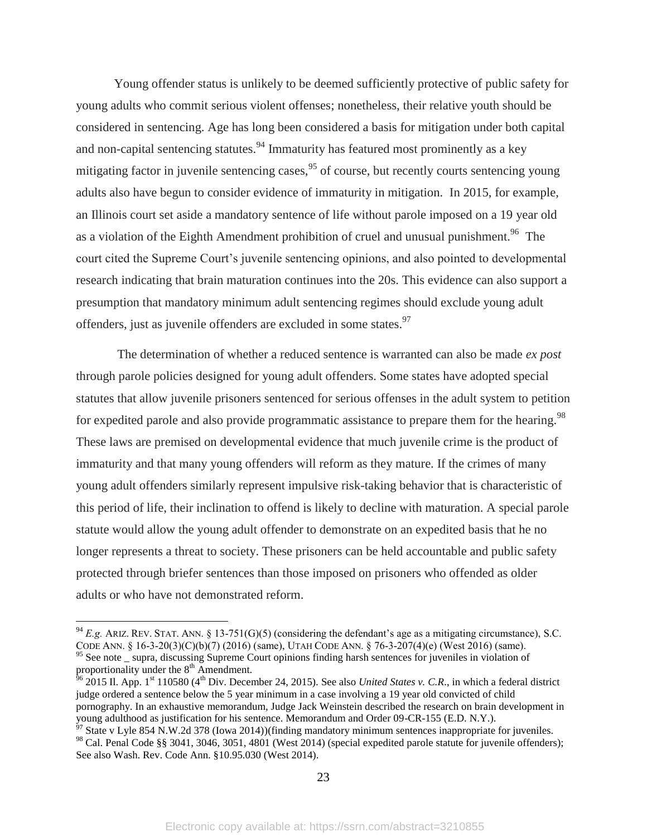Young offender status is unlikely to be deemed sufficiently protective of public safety for young adults who commit serious violent offenses; nonetheless, their relative youth should be considered in sentencing. Age has long been considered a basis for mitigation under both capital and non-capital sentencing statutes. $94$  Immaturity has featured most prominently as a key mitigating factor in juvenile sentencing cases,  $95$  of course, but recently courts sentencing young adults also have begun to consider evidence of immaturity in mitigation. In 2015, for example, an Illinois court set aside a mandatory sentence of life without parole imposed on a 19 year old as a violation of the Eighth Amendment prohibition of cruel and unusual punishment.<sup>96</sup> The court cited the Supreme Court's juvenile sentencing opinions, and also pointed to developmental research indicating that brain maturation continues into the 20s. This evidence can also support a presumption that mandatory minimum adult sentencing regimes should exclude young adult offenders, just as juvenile offenders are excluded in some states.<sup>97</sup>

The determination of whether a reduced sentence is warranted can also be made *ex post* through parole policies designed for young adult offenders. Some states have adopted special statutes that allow juvenile prisoners sentenced for serious offenses in the adult system to petition for expedited parole and also provide programmatic assistance to prepare them for the hearing.<sup>98</sup> These laws are premised on developmental evidence that much juvenile crime is the product of immaturity and that many young offenders will reform as they mature. If the crimes of many young adult offenders similarly represent impulsive risk-taking behavior that is characteristic of this period of life, their inclination to offend is likely to decline with maturation. A special parole statute would allow the young adult offender to demonstrate on an expedited basis that he no longer represents a threat to society. These prisoners can be held accountable and public safety protected through briefer sentences than those imposed on prisoners who offended as older adults or who have not demonstrated reform.

 $^{94}$  *E.g.* ARIZ. REV. STAT. ANN. § 13-751(G)(5) (considering the defendant's age as a mitigating circumstance), S.C. CODE ANN. § 16-3-20(3)(C)(b)(7) (2016) (same), UTAH CODE ANN. § 76-3-207(4)(e) (West 2016) (same). <sup>95</sup> See note \_ supra, discussing Supreme Court opinions finding harsh sentences for juveniles in violation of

proportionality under the  $8<sup>th</sup>$  Amendment.

 $^{56}$  2015 Il. App. 1<sup>st</sup> 110580 (4<sup>th</sup> Div. December 24, 2015). See also *United States v. C.R.*, in which a federal district judge ordered a sentence below the 5 year minimum in a case involving a 19 year old convicted of child pornography. In an exhaustive memorandum, Judge Jack Weinstein described the research on brain development in young adulthood as justification for his sentence. Memorandum and Order 09-CR-155 (E.D. N.Y.).

 $^{57}$  State v Lyle 854 N.W.2d 378 (Iowa 2014))(finding mandatory minimum sentences inappropriate for juveniles. 98 Cal. Penal Code §§ 3041, 3046, 3051, 4801 (West 2014) (special expedited parole statute for juvenile offenders); See also Wash. Rev. Code Ann. §10.95.030 (West 2014).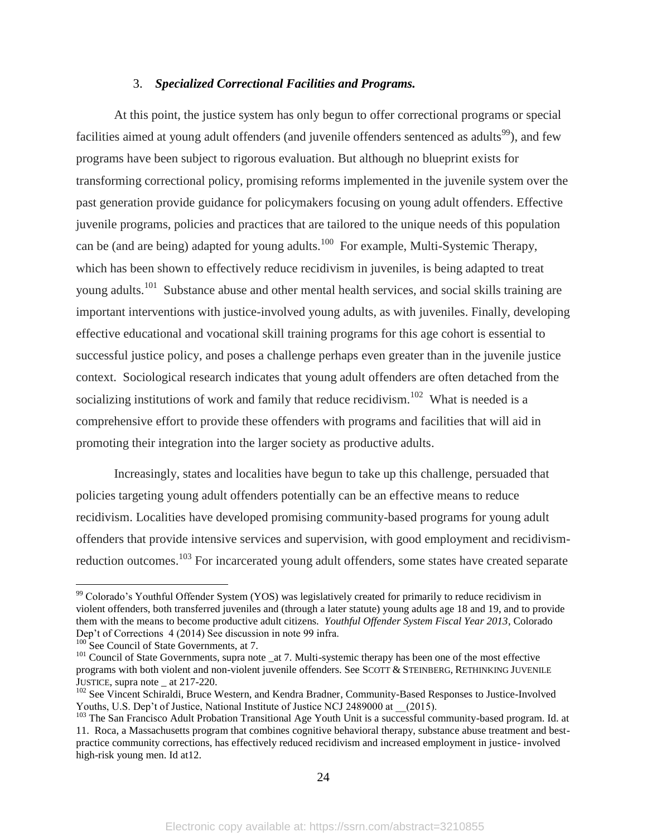#### 3. *Specialized Correctional Facilities and Programs.*

At this point, the justice system has only begun to offer correctional programs or special facilities aimed at young adult offenders (and juvenile offenders sentenced as adults<sup>99</sup>), and few programs have been subject to rigorous evaluation. But although no blueprint exists for transforming correctional policy, promising reforms implemented in the juvenile system over the past generation provide guidance for policymakers focusing on young adult offenders. Effective juvenile programs, policies and practices that are tailored to the unique needs of this population can be (and are being) adapted for young adults.<sup>100</sup> For example, Multi-Systemic Therapy, which has been shown to effectively reduce recidivism in juveniles, is being adapted to treat young adults.<sup>101</sup> Substance abuse and other mental health services, and social skills training are important interventions with justice-involved young adults, as with juveniles. Finally, developing effective educational and vocational skill training programs for this age cohort is essential to successful justice policy, and poses a challenge perhaps even greater than in the juvenile justice context. Sociological research indicates that young adult offenders are often detached from the socializing institutions of work and family that reduce recidivism.<sup>102</sup> What is needed is a comprehensive effort to provide these offenders with programs and facilities that will aid in promoting their integration into the larger society as productive adults.

Increasingly, states and localities have begun to take up this challenge, persuaded that policies targeting young adult offenders potentially can be an effective means to reduce recidivism. Localities have developed promising community-based programs for young adult offenders that provide intensive services and supervision, with good employment and recidivismreduction outcomes.<sup>103</sup> For incarcerated young adult offenders, some states have created separate

<sup>&</sup>lt;sup>99</sup> Colorado's Youthful Offender System (YOS) was legislatively created for primarily to reduce recidivism in violent offenders, both transferred juveniles and (through a later statute) young adults age 18 and 19, and to provide them with the means to become productive adult citizens. *Youthful Offender System Fiscal Year 2013*, Colorado Dep't of Corrections 4 (2014) See discussion in note 99 infra.

 $^{100}$  See Council of State Governments, at 7.

<sup>&</sup>lt;sup>101</sup> Council of State Governments, supra note \_at 7. Multi-systemic therapy has been one of the most effective programs with both violent and non-violent juvenile offenders. See SCOTT & STEINBERG, RETHINKING JUVENILE JUSTICE, supra note \_ at 217-220.

<sup>&</sup>lt;sup>102</sup> See Vincent Schiraldi, Bruce Western, and Kendra Bradner, Community-Based Responses to Justice-Involved Youths, U.S. Dep't of Justice, National Institute of Justice NCJ 2489000 at (2015).

<sup>&</sup>lt;sup>103</sup> The San Francisco Adult Probation Transitional Age Youth Unit is a successful community-based program. Id. at 11. Roca, a Massachusetts program that combines cognitive behavioral therapy, substance abuse treatment and bestpractice community corrections, has effectively reduced recidivism and increased employment in justice- involved high-risk young men. Id at12.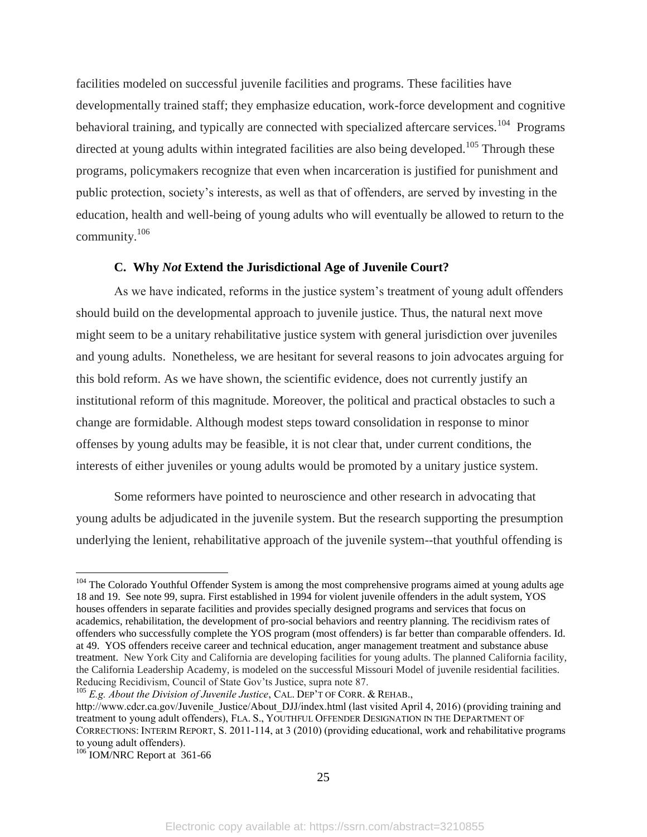facilities modeled on successful juvenile facilities and programs. These facilities have developmentally trained staff; they emphasize education, work-force development and cognitive behavioral training, and typically are connected with specialized aftercare services.<sup>104</sup> Programs directed at young adults within integrated facilities are also being developed.<sup>105</sup> Through these programs, policymakers recognize that even when incarceration is justified for punishment and public protection, society's interests, as well as that of offenders, are served by investing in the education, health and well-being of young adults who will eventually be allowed to return to the community.<sup>106</sup>

#### **C. Why** *Not* **Extend the Jurisdictional Age of Juvenile Court?**

As we have indicated, reforms in the justice system's treatment of young adult offenders should build on the developmental approach to juvenile justice. Thus, the natural next move might seem to be a unitary rehabilitative justice system with general jurisdiction over juveniles and young adults. Nonetheless, we are hesitant for several reasons to join advocates arguing for this bold reform. As we have shown, the scientific evidence, does not currently justify an institutional reform of this magnitude. Moreover, the political and practical obstacles to such a change are formidable. Although modest steps toward consolidation in response to minor offenses by young adults may be feasible, it is not clear that, under current conditions, the interests of either juveniles or young adults would be promoted by a unitary justice system.

Some reformers have pointed to neuroscience and other research in advocating that young adults be adjudicated in the juvenile system. But the research supporting the presumption underlying the lenient, rehabilitative approach of the juvenile system--that youthful offending is

<sup>105</sup> *E.g. About the Division of Juvenile Justice*, CAL. DEP'T OF CORR. & REHAB.,

<sup>&</sup>lt;sup>104</sup> The Colorado Youthful Offender System is among the most comprehensive programs aimed at young adults age 18 and 19. See note 99, supra. First established in 1994 for violent juvenile offenders in the adult system, YOS houses offenders in separate facilities and provides specially designed programs and services that focus on academics, rehabilitation, the development of pro-social behaviors and reentry planning. The recidivism rates of offenders who successfully complete the YOS program (most offenders) is far better than comparable offenders. Id. at 49. YOS offenders receive career and technical education, anger management treatment and substance abuse treatment. New York City and California are developing facilities for young adults. The planned California facility, the California Leadership Academy, is modeled on the successful Missouri Model of juvenile residential facilities. Reducing Recidivism, Council of State Gov'ts Justice, supra note 87.

http://www.cdcr.ca.gov/Juvenile\_Justice/About\_DJJ/index.html (last visited April 4, 2016) (providing training and treatment to young adult offenders), FLA. S., YOUTHFUL OFFENDER DESIGNATION IN THE DEPARTMENT OF CORRECTIONS: INTERIM REPORT, S. 2011-114, at 3 (2010) (providing educational, work and rehabilitative programs to young adult offenders).

<sup>&</sup>lt;sup>106</sup> IOM/NRC Report at 361-66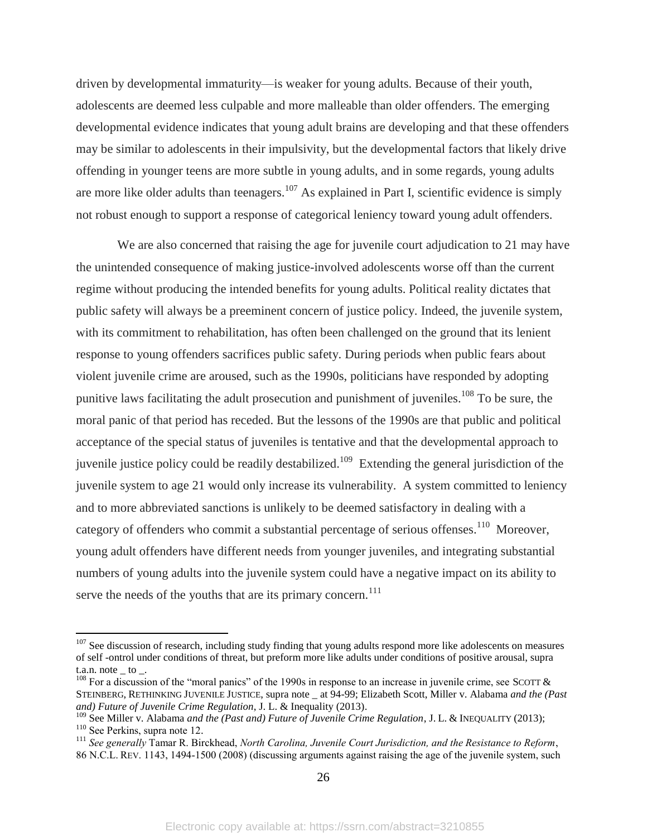driven by developmental immaturity—is weaker for young adults. Because of their youth, adolescents are deemed less culpable and more malleable than older offenders. The emerging developmental evidence indicates that young adult brains are developing and that these offenders may be similar to adolescents in their impulsivity, but the developmental factors that likely drive offending in younger teens are more subtle in young adults, and in some regards, young adults are more like older adults than teenagers.<sup>107</sup> As explained in Part I, scientific evidence is simply not robust enough to support a response of categorical leniency toward young adult offenders.

We are also concerned that raising the age for juvenile court adjudication to 21 may have the unintended consequence of making justice-involved adolescents worse off than the current regime without producing the intended benefits for young adults. Political reality dictates that public safety will always be a preeminent concern of justice policy. Indeed, the juvenile system, with its commitment to rehabilitation, has often been challenged on the ground that its lenient response to young offenders sacrifices public safety. During periods when public fears about violent juvenile crime are aroused, such as the 1990s, politicians have responded by adopting punitive laws facilitating the adult prosecution and punishment of juveniles.<sup>108</sup> To be sure, the moral panic of that period has receded. But the lessons of the 1990s are that public and political acceptance of the special status of juveniles is tentative and that the developmental approach to juvenile justice policy could be readily destabilized.<sup>109</sup> Extending the general jurisdiction of the juvenile system to age 21 would only increase its vulnerability. A system committed to leniency and to more abbreviated sanctions is unlikely to be deemed satisfactory in dealing with a category of offenders who commit a substantial percentage of serious offenses.<sup>110</sup> Moreover, young adult offenders have different needs from younger juveniles, and integrating substantial numbers of young adults into the juvenile system could have a negative impact on its ability to serve the needs of the youths that are its primary concern. $111$ 

<sup>&</sup>lt;sup>107</sup> See discussion of research, including study finding that young adults respond more like adolescents on measures of self -ontrol under conditions of threat, but preform more like adults under conditions of positive arousal, supra  $t.a.n.$  note  $\quad$  to  $\quad$ .

<sup>&</sup>lt;sup>108</sup> For a discussion of the "moral panics" of the 1990s in response to an increase in juvenile crime, see SCOTT  $\&$ STEINBERG, RETHINKING JUVENILE JUSTICE, supra note \_ at 94-99; Elizabeth Scott, Miller v. Alabama *and the (Past and) Future of Juvenile Crime Regulation*, J. L. & Inequality (2013).

<sup>&</sup>lt;sup>109</sup> See Miller v. Alabama *and the (Past and) Future of Juvenile Crime Regulation*, J. L. & INEQUALITY (2013); <sup>110</sup> See Perkins, supra note 12.

<sup>111</sup> *See generally* Tamar R. Birckhead, *North Carolina, Juvenile Court Jurisdiction, and the Resistance to Reform*, 86 N.C.L. REV. 1143, 1494-1500 (2008) (discussing arguments against raising the age of the juvenile system, such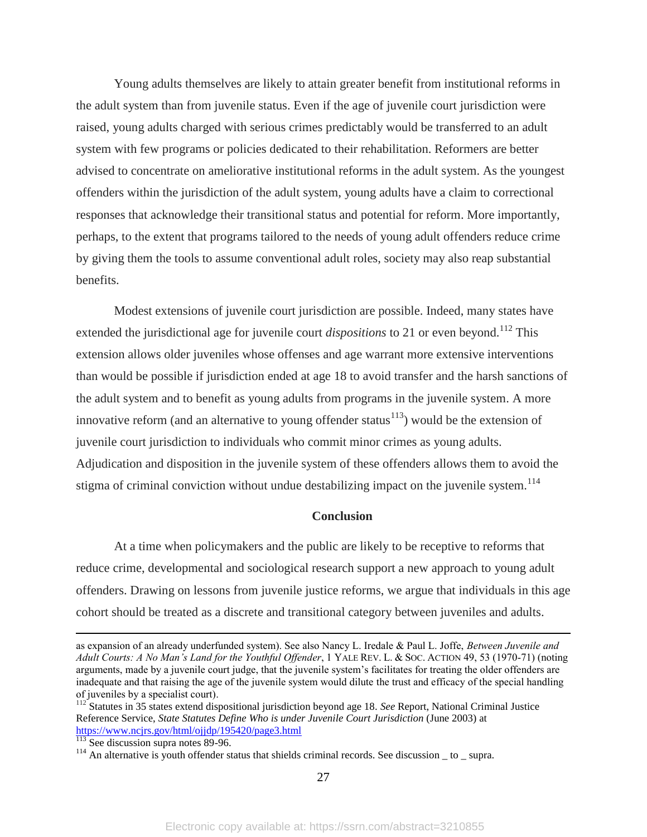Young adults themselves are likely to attain greater benefit from institutional reforms in the adult system than from juvenile status. Even if the age of juvenile court jurisdiction were raised, young adults charged with serious crimes predictably would be transferred to an adult system with few programs or policies dedicated to their rehabilitation. Reformers are better advised to concentrate on ameliorative institutional reforms in the adult system. As the youngest offenders within the jurisdiction of the adult system, young adults have a claim to correctional responses that acknowledge their transitional status and potential for reform. More importantly, perhaps, to the extent that programs tailored to the needs of young adult offenders reduce crime by giving them the tools to assume conventional adult roles, society may also reap substantial benefits.

Modest extensions of juvenile court jurisdiction are possible. Indeed, many states have extended the jurisdictional age for juvenile court *dispositions* to 21 or even beyond.<sup>112</sup> This extension allows older juveniles whose offenses and age warrant more extensive interventions than would be possible if jurisdiction ended at age 18 to avoid transfer and the harsh sanctions of the adult system and to benefit as young adults from programs in the juvenile system. A more innovative reform (and an alternative to young offender status<sup>113</sup>) would be the extension of juvenile court jurisdiction to individuals who commit minor crimes as young adults. Adjudication and disposition in the juvenile system of these offenders allows them to avoid the stigma of criminal conviction without undue destabilizing impact on the juvenile system.<sup>114</sup>

#### **Conclusion**

At a time when policymakers and the public are likely to be receptive to reforms that reduce crime, developmental and sociological research support a new approach to young adult offenders. Drawing on lessons from juvenile justice reforms, we argue that individuals in this age cohort should be treated as a discrete and transitional category between juveniles and adults.

 $\overline{a}$ 

27

as expansion of an already underfunded system). See also Nancy L. Iredale & Paul L. Joffe, *Between Juvenile and Adult Courts: A No Man's Land for the Youthful Offender*, 1 YALE REV. L. & SOC. ACTION 49, 53 (1970-71) (noting arguments, made by a juvenile court judge, that the juvenile system's facilitates for treating the older offenders are inadequate and that raising the age of the juvenile system would dilute the trust and efficacy of the special handling of juveniles by a specialist court).

<sup>112</sup> Statutes in 35 states extend dispositional jurisdiction beyond age 18. *See* Report, National Criminal Justice Reference Service, *State Statutes Define Who is under Juvenile Court Jurisdiction* (June 2003) at <https://www.ncjrs.gov/html/ojjdp/195420/page3.html>

<sup>&</sup>lt;sup>113</sup> See discussion supra notes 89-96.

 $114$  An alternative is youth offender status that shields criminal records. See discussion  $\_$  to  $\_$  supra.